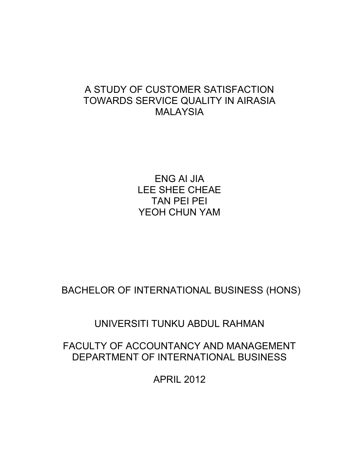# A STUDY OF CUSTOMER SATISFACTION TOWARDS SERVICE QUALITY IN AIRASIA MALAYSIA

ENG AI JIA LEE SHEE CHEAE TAN PEI PEI YEOH CHUN YAM

BACHELOR OF INTERNATIONAL BUSINESS (HONS)

UNIVERSITI TUNKU ABDUL RAHMAN

# FACULTY OF ACCOUNTANCY AND MANAGEMENT DEPARTMENT OF INTERNATIONAL BUSINESS

APRIL 2012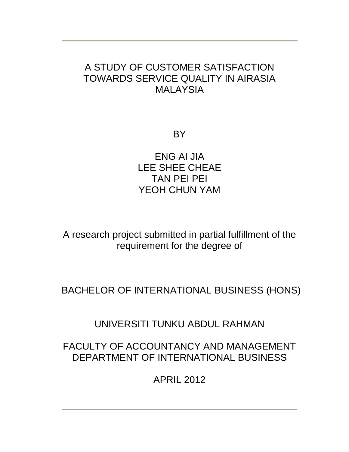# A STUDY OF CUSTOMER SATISFACTION TOWARDS SERVICE QUALITY IN AIRASIA MALAYSIA

**BY** 

ENG AI JIA LEE SHEE CHEAE TAN PEI PEI YEOH CHUN YAM

A research project submitted in partial fulfillment of the requirement for the degree of

BACHELOR OF INTERNATIONAL BUSINESS (HONS)

UNIVERSITI TUNKU ABDUL RAHMAN

# FACULTY OF ACCOUNTANCY AND MANAGEMENT DEPARTMENT OF INTERNATIONAL BUSINESS

APRIL 2012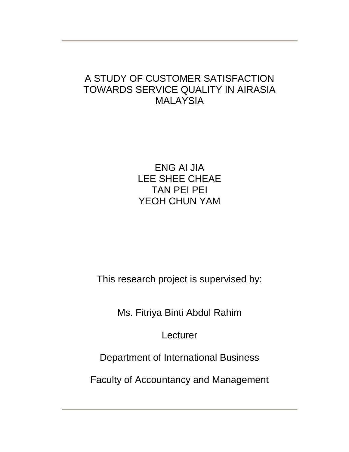# A STUDY OF CUSTOMER SATISFACTION TOWARDS SERVICE QUALITY IN AIRASIA MALAYSIA

ENG AI JIA LEE SHEE CHEAE TAN PEI PEI YEOH CHUN YAM

This research project is supervised by:

Ms. Fitriya Binti Abdul Rahim

**Lecturer** 

Department of International Business

Faculty of Accountancy and Management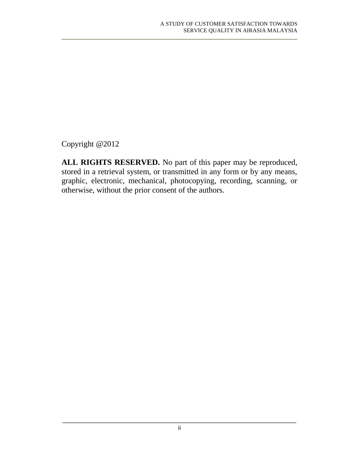Copyright @2012

**ALL RIGHTS RESERVED.** No part of this paper may be reproduced, stored in a retrieval system, or transmitted in any form or by any means, graphic, electronic, mechanical, photocopying, recording, scanning, or otherwise, without the prior consent of the authors.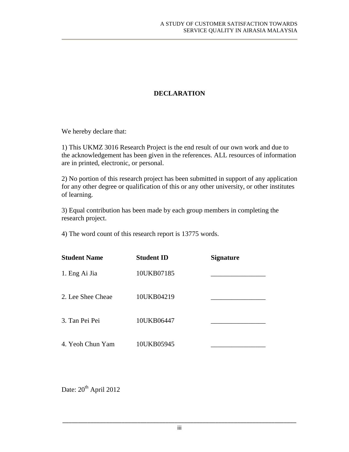### **DECLARATION**

We hereby declare that:

1) This UKMZ 3016 Research Project is the end result of our own work and due to the acknowledgement has been given in the references. ALL resources of information are in printed, electronic, or personal.

2) No portion of this research project has been submitted in support of any application for any other degree or qualification of this or any other university, or other institutes of learning.

3) Equal contribution has been made by each group members in completing the research project.

4) The word count of this research report is 13775 words.

| <b>Student Name</b> | <b>Student ID</b> | <b>Signature</b> |
|---------------------|-------------------|------------------|
| 1. Eng Ai Jia       | 10UKB07185        |                  |
| 2. Lee Shee Cheae   | 10UKB04219        |                  |
| 3. Tan Pei Pei      | 10UKB06447        |                  |
| 4. Yeoh Chun Yam    | 10UKB05945        |                  |

Date:  $20^{th}$  April 2012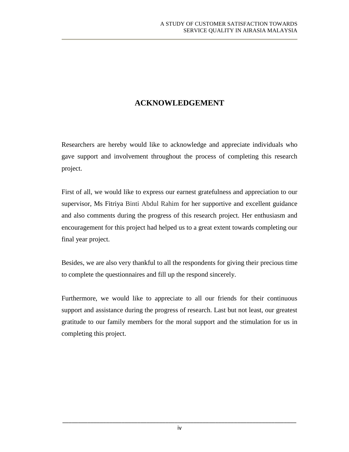## **ACKNOWLEDGEMENT**

Researchers are hereby would like to acknowledge and appreciate individuals who gave support and involvement throughout the process of completing this research project.

First of all, we would like to express our earnest gratefulness and appreciation to our supervisor, Ms Fitriya Binti Abdul Rahim for her supportive and excellent guidance and also comments during the progress of this research project. Her enthusiasm and encouragement for this project had helped us to a great extent towards completing our final year project.

Besides, we are also very thankful to all the respondents for giving their precious time to complete the questionnaires and fill up the respond sincerely.

Furthermore, we would like to appreciate to all our friends for their continuous support and assistance during the progress of research. Last but not least, our greatest gratitude to our family members for the moral support and the stimulation for us in completing this project.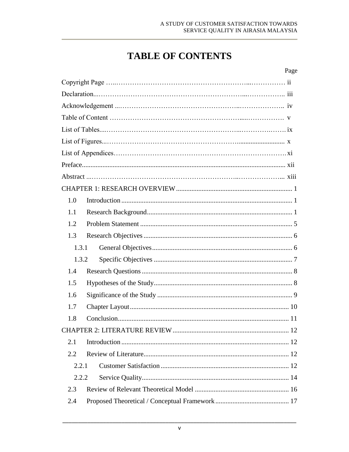# **TABLE OF CONTENTS**

#### Page

| 1.0   |  |
|-------|--|
| 1.1   |  |
| 1.2   |  |
| 1.3   |  |
| 1.3.1 |  |
| 1.3.2 |  |
| 1.4   |  |
| 1.5   |  |
| 1.6   |  |
| 1.7   |  |
| 1.8   |  |
|       |  |
| 2.1   |  |
| 2.2   |  |
| 2.2.1 |  |
| 2.2.2 |  |
| 2.3   |  |
| 2.4   |  |
|       |  |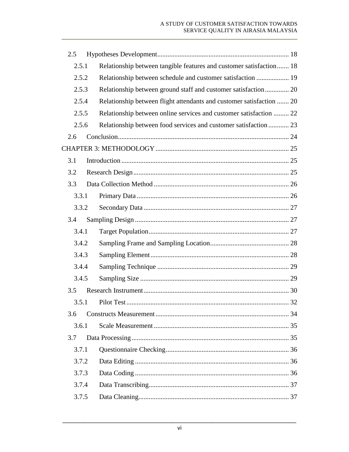| 2.5   |                                                                      |  |
|-------|----------------------------------------------------------------------|--|
| 2.5.1 | Relationship between tangible features and customer satisfaction 18  |  |
| 2.5.2 | Relationship between schedule and customer satisfaction  19          |  |
| 2.5.3 |                                                                      |  |
| 2.5.4 | Relationship between flight attendants and customer satisfaction  20 |  |
| 2.5.5 | Relationship between online services and customer satisfaction  22   |  |
| 2.5.6 | Relationship between food services and customer satisfaction  23     |  |
| 2.6   |                                                                      |  |
|       |                                                                      |  |
| 3.1   |                                                                      |  |
| 3.2   |                                                                      |  |
| 3.3   |                                                                      |  |
| 3.3.1 |                                                                      |  |
| 3.3.2 |                                                                      |  |
| 3.4   |                                                                      |  |
| 3.4.1 |                                                                      |  |
| 3.4.2 |                                                                      |  |
| 3.4.3 |                                                                      |  |
| 3.4.4 |                                                                      |  |
| 3.4.5 |                                                                      |  |
| 3.5   |                                                                      |  |
| 3.5.1 |                                                                      |  |
| 3.6   |                                                                      |  |
| 3.6.1 |                                                                      |  |
| 3.7   |                                                                      |  |
| 3.7.1 |                                                                      |  |
| 3.7.2 |                                                                      |  |
| 3.7.3 |                                                                      |  |
| 3.7.4 |                                                                      |  |
| 3.7.5 |                                                                      |  |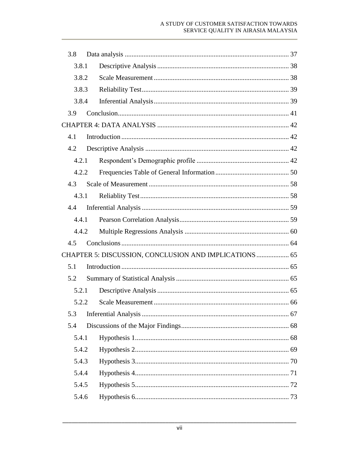#### A STUDY OF CUSTOMER SATISFACTION TOWARDS SERVICE QUALITY IN AIRASIA MALAYSIA

| 3.8 |       |       |                                                        |  |
|-----|-------|-------|--------------------------------------------------------|--|
|     | 3.8.1 |       |                                                        |  |
|     | 3.8.2 |       |                                                        |  |
|     | 3.8.3 |       |                                                        |  |
|     | 3.8.4 |       |                                                        |  |
| 3.9 |       |       |                                                        |  |
|     |       |       |                                                        |  |
| 4.1 |       |       |                                                        |  |
| 4.2 |       |       |                                                        |  |
|     |       | 4.2.1 |                                                        |  |
|     | 4.2.2 |       |                                                        |  |
| 4.3 |       |       |                                                        |  |
|     | 4.3.1 |       |                                                        |  |
| 4.4 |       |       |                                                        |  |
|     | 4.4.1 |       |                                                        |  |
|     | 4.4.2 |       |                                                        |  |
| 4.5 |       |       |                                                        |  |
|     |       |       | CHAPTER 5: DISCUSSION, CONCLUSION AND IMPLICATIONS  65 |  |
| 5.1 |       |       |                                                        |  |
| 5.2 |       |       |                                                        |  |
|     | 5.2.1 |       |                                                        |  |
|     |       |       | 66                                                     |  |
| 5.3 |       |       |                                                        |  |
| 5.4 |       |       |                                                        |  |
|     | 5.4.1 |       |                                                        |  |
|     | 5.4.2 |       |                                                        |  |
|     | 5.4.3 |       |                                                        |  |
|     | 5.4.4 |       |                                                        |  |
|     | 5.4.5 |       |                                                        |  |
|     | 5.4.6 |       |                                                        |  |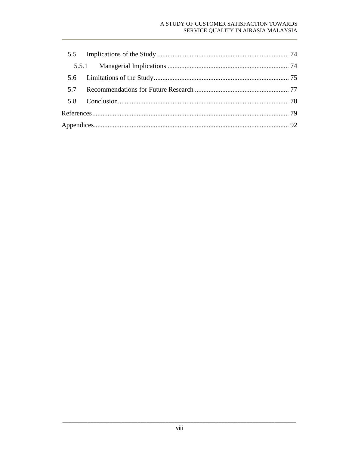#### A STUDY OF CUSTOMER SATISFACTION TOWARDS SERVICE QUALITY IN AIRASIA MALAYSIA

| 57 |  |  |
|----|--|--|
|    |  |  |
|    |  |  |
|    |  |  |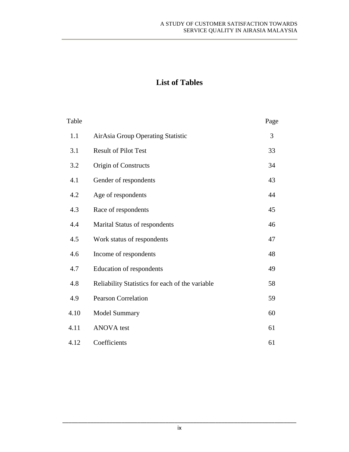## **List of Tables**

| Table |                                                 | Page |
|-------|-------------------------------------------------|------|
| 1.1   | AirAsia Group Operating Statistic               | 3    |
| 3.1   | <b>Result of Pilot Test</b>                     | 33   |
| 3.2   | Origin of Constructs                            | 34   |
| 4.1   | Gender of respondents                           | 43   |
| 4.2   | Age of respondents                              | 44   |
| 4.3   | Race of respondents                             | 45   |
| 4.4   | Marital Status of respondents                   | 46   |
| 4.5   | Work status of respondents                      | 47   |
| 4.6   | Income of respondents                           | 48   |
| 4.7   | Education of respondents                        | 49   |
| 4.8   | Reliability Statistics for each of the variable | 58   |
| 4.9   | <b>Pearson Correlation</b>                      | 59   |
| 4.10  | <b>Model Summary</b>                            | 60   |
| 4.11  | <b>ANOVA</b> test                               | 61   |
| 4.12  | Coefficients                                    | 61   |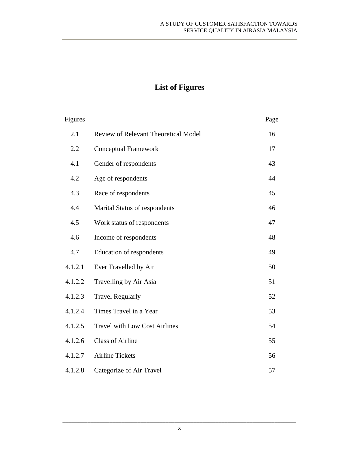# **List of Figures**

| Figures |                                      | Page |
|---------|--------------------------------------|------|
| 2.1     | Review of Relevant Theoretical Model | 16   |
| 2.2     | <b>Conceptual Framework</b>          | 17   |
| 4.1     | Gender of respondents                | 43   |
| 4.2     | Age of respondents                   | 44   |
| 4.3     | Race of respondents                  | 45   |
| 4.4     | Marital Status of respondents        | 46   |
| 4.5     | Work status of respondents           | 47   |
| 4.6     | Income of respondents                | 48   |
| 4.7     | Education of respondents             | 49   |
| 4.1.2.1 | Ever Travelled by Air                | 50   |
| 4.1.2.2 | Travelling by Air Asia               | 51   |
| 4.1.2.3 | <b>Travel Regularly</b>              | 52   |
| 4.1.2.4 | Times Travel in a Year               | 53   |
| 4.1.2.5 | <b>Travel with Low Cost Airlines</b> | 54   |
| 4.1.2.6 | <b>Class of Airline</b>              | 55   |
| 4.1.2.7 | <b>Airline Tickets</b>               | 56   |
| 4.1.2.8 | Categorize of Air Travel             | 57   |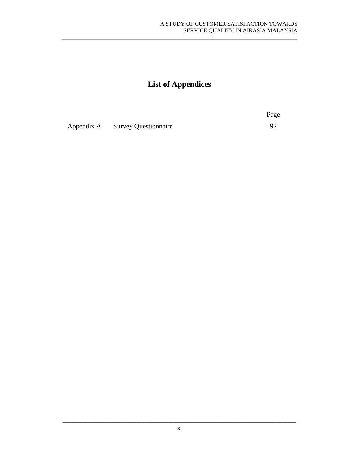# **List of Appendices**

|                                 | Page |
|---------------------------------|------|
| Appendix A Survey Questionnaire |      |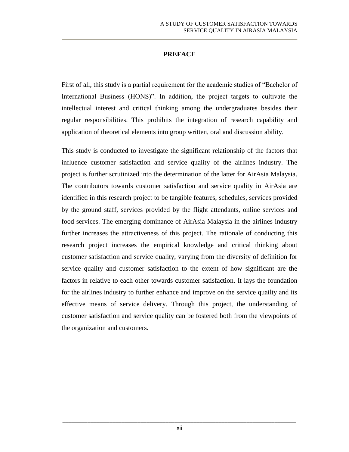#### **PREFACE**

<span id="page-13-1"></span><span id="page-13-0"></span>First of all, this study is a partial requirement for the academic studies of "Bachelor of International Business (HONS)". In addition, the project targets to cultivate the intellectual interest and critical thinking among the undergraduates besides their regular responsibilities. This prohibits the integration of research capability and application of theoretical elements into group written, oral and discussion ability.

<span id="page-13-2"></span>This study is conducted to investigate the significant relationship of the factors that influence customer satisfaction and service quality of the airlines industry. The project is further scrutinized into the determination of the latter for AirAsia Malaysia. The contributors towards customer satisfaction and service quality in AirAsia are identified in this research project to be tangible features, schedules, services provided by the ground staff, services provided by the flight attendants, online services and food services. The emerging dominance of AirAsia Malaysia in the airlines industry further increases the attractiveness of this project. The rationale of conducting this research project increases the empirical knowledge and critical thinking about customer satisfaction and service quality, varying from the diversity of definition for service quality and customer satisfaction to the extent of how significant are the factors in relative to each other towards customer satisfaction. It lays the foundation for the airlines industry to further enhance and improve on the service quailty and its effective means of service delivery. Through this project, the understanding of customer satisfaction and service quality can be fostered both from the viewpoints of the organization and customers.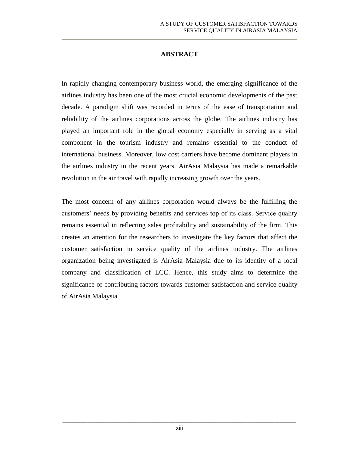### **ABSTRACT**

In rapidly changing contemporary business world, the emerging significance of the airlines industry has been one of the most crucial economic developments of the past decade. A paradigm shift was recorded in terms of the ease of transportation and reliability of the airlines corporations across the globe. The airlines industry has played an important role in the global economy especially in serving as a vital component in the tourism industry and remains essential to the conduct of international business. Moreover, low cost carriers have become dominant players in the airlines industry in the recent years. AirAsia Malaysia has made a remarkable revolution in the air travel with rapidly increasing growth over the years.

The most concern of any airlines corporation would always be the fulfilling the customers' needs by providing benefits and services top of its class. Service quality remains essential in reflecting sales profitability and sustainability of the firm. This creates an attention for the researchers to investigate the key factors that affect the customer satisfaction in service quality of the airlines industry. The airlines organization being investigated is AirAsia Malaysia due to its identity of a local company and classification of LCC. Hence, this study aims to determine the significance of contributing factors towards customer satisfaction and service quality of AirAsia Malaysia.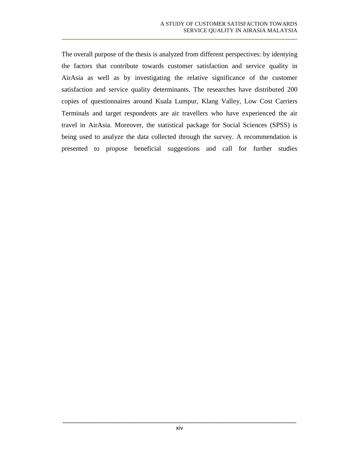The overall purpose of the thesis is analyzed from different perspectives: by identying the factors that contribute towards customer satisfaction and service quality in AirAsia as well as by investigating the relative significance of the customer satisfaction and service quality determinants. The researches have distributed 200 copies of questionnaires around Kuala Lumpur, Klang Valley, Low Cost Carriers Terminals and target respondents are air travellers who have experienced the air travel in AirAsia. Moreover, the statistical package for Social Sciences (SPSS) is being used to analyze the data collected through the survey. A recommendation is presented to propose beneficial suggestions and call for further studies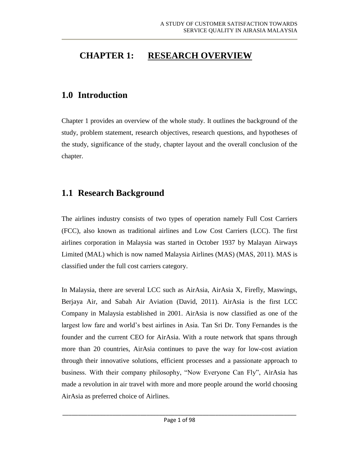## **CHAPTER 1: RESEARCH OVERVIEW**

### **1.0 Introduction**

Chapter 1 provides an overview of the whole study. It outlines the background of the study, problem statement, research objectives, research questions, and hypotheses of the study, significance of the study, chapter layout and the overall conclusion of the chapter.

### **1.1 Research Background**

The airlines industry consists of two types of operation namely Full Cost Carriers (FCC), also known as traditional airlines and Low Cost Carriers (LCC). The first airlines corporation in Malaysia was started in October 1937 by Malayan Airways Limited (MAL) which is now named Malaysia Airlines (MAS) (MAS, 2011). MAS is classified under the full cost carriers category.

In Malaysia, there are several LCC such as AirAsia, AirAsia X, Firefly, Maswings, Berjaya Air, and Sabah Air Aviation (David, 2011). AirAsia is the first LCC Company in Malaysia established in 2001. AirAsia is now classified as one of the largest low fare and world's best airlines in Asia. Tan Sri Dr. Tony Fernandes is the founder and the current CEO for AirAsia. With a route network that spans through more than 20 countries, AirAsia continues to pave the way for low-cost aviation through their innovative solutions, efficient processes and a passionate approach to business. With their company philosophy, "Now Everyone Can Fly", AirAsia has made a revolution in air travel with more and more people around the world choosing AirAsia as preferred choice of Airlines.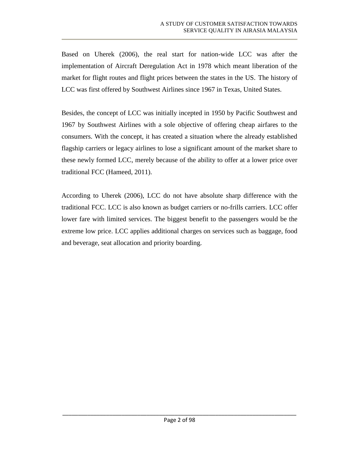<span id="page-17-0"></span>Based on Uherek (2006), the real start for nation-wide LCC was after the implementation of Aircraft Deregulation Act in 1978 which meant liberation of the market for flight routes and flight prices between the states in the US. The history of LCC was first offered by Southwest Airlines since 1967 in Texas, United States.

Besides, the concept of LCC was initially incepted in 1950 by Pacific Southwest and 1967 by Southwest Airlines with a sole objective of offering cheap airfares to the consumers. With the concept, it has created a situation where the already established flagship carriers or legacy airlines to lose a significant amount of the market share to these newly formed LCC, merely because of the ability to offer at a lower price over traditional FCC (Hameed, 2011).

According to Uherek (2006), LCC do not have absolute sharp difference with the traditional FCC. LCC is also known as budget carriers or no-frills carriers. LCC offer lower fare with limited services. The biggest benefit to the passengers would be the extreme low price. LCC applies additional charges on services such as baggage, food and beverage, seat allocation and priority boarding.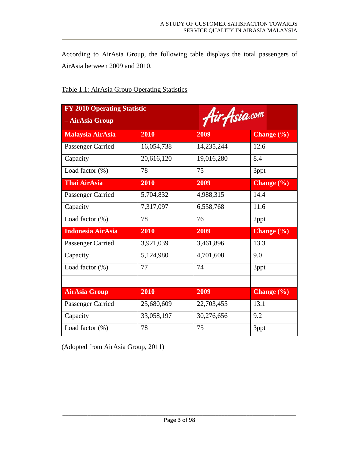According to AirAsia Group, the following table displays the total passengers of AirAsia between 2009 and 2010.

<span id="page-18-1"></span><span id="page-18-0"></span>

| <b>FY 2010 Operating Statistic</b><br>Air Asia.com<br>- AirAsia Group |            |            |                |  |  |
|-----------------------------------------------------------------------|------------|------------|----------------|--|--|
| <b>Malaysia AirAsia</b>                                               | 2010       | 2009       | Change (%)     |  |  |
| Passenger Carried                                                     | 16,054,738 | 14,235,244 | 12.6           |  |  |
| Capacity                                                              | 20,616,120 | 19,016,280 | 8.4            |  |  |
| Load factor $(\%)$                                                    | 78         | 75         | 3ppt           |  |  |
| <b>Thai AirAsia</b>                                                   | 2010       | 2009       | Change $(\% )$ |  |  |
| Passenger Carried                                                     | 5,704,832  | 4,988,315  | 14.4           |  |  |
| Capacity                                                              | 7,317,097  | 6,558,768  | 11.6           |  |  |
| Load factor (%)                                                       | 78         | 76         | 2ppt           |  |  |
| <b>Indonesia AirAsia</b>                                              | 2010       | 2009       | Change $(\% )$ |  |  |
| Passenger Carried                                                     | 3,921,039  | 3,461,896  | 13.3           |  |  |
| Capacity                                                              | 5,124,980  | 4,701,608  | 9.0            |  |  |
| Load factor $(\%)$                                                    | 77         | 74         | 3ppt           |  |  |
|                                                                       |            |            |                |  |  |
| <b>AirAsia Group</b>                                                  | 2010       | 2009       | Change $(\% )$ |  |  |
| Passenger Carried                                                     | 25,680,609 | 22,703,455 | 13.1           |  |  |
| Capacity                                                              | 33,058,197 | 30,276,656 | 9.2            |  |  |
| Load factor (%)                                                       | 78         | 75         | 3ppt           |  |  |

#### Table 1.1: AirAsia Group Operating Statistics

(Adopted from AirAsia Group, 2011)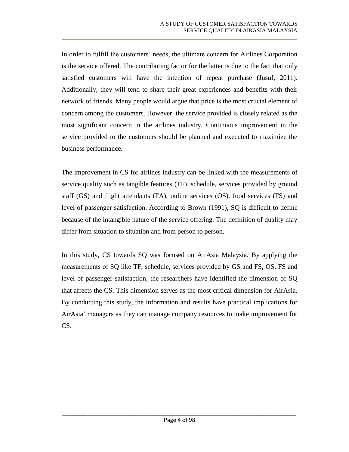In order to fulfill the customers' needs, the ultimate concern for Airlines Corporation is the service offered. The contributing factor for the latter is due to the fact that only satisfied customers will have the intention of repeat purchase (Jusuf, 2011). Additionally, they will tend to share their great experiences and benefits with their network of friends. Many people would argue that price is the most crucial element of concern among the customers. However, the service provided is closely related as the most significant concern in the airlines industry. Continuous improvement in the service provided to the customers should be planned and executed to maximize the business performance.

The improvement in CS for airlines industry can be linked with the measurements of service quality such as tangible features (TF), schedule, services provided by ground staff (GS) and flight attendants (FA), online services (OS), food services (FS) and level of passenger satisfaction. According to Brown (1991), SQ is difficult to define because of the intangible nature of the service offering. The definition of quality may differ from situation to situation and from person to person.

<span id="page-19-0"></span>In this study, CS towards SQ was focused on AirAsia Malaysia. By applying the measurements of SQ like TF, schedule, services provided by GS and FS, OS, FS and level of passenger satisfaction, the researchers have identified the dimension of SQ that affects the CS. This dimension serves as the most critical dimension for AirAsia. By conducting this study, the information and results have practical implications for AirAsia' managers as they can manage company resources to make improvement for CS.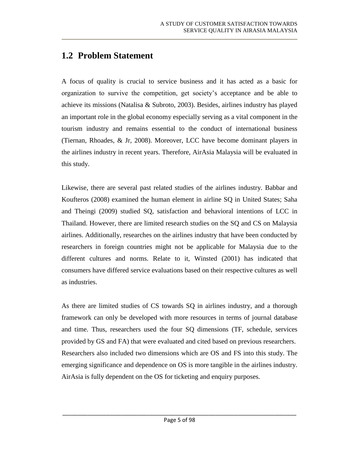## **1.2 Problem Statement**

A focus of quality is crucial to service business and it has acted as a basic for organization to survive the competition, get society's acceptance and be able to achieve its missions (Natalisa & Subroto, 2003). Besides, airlines industry has played an important role in the global economy especially serving as a vital component in the tourism industry and remains essential to the conduct of international business (Tiernan, Rhoades, & Jr, 2008). Moreover, LCC have become dominant players in the airlines industry in recent years. Therefore, AirAsia Malaysia will be evaluated in this study.

<span id="page-20-1"></span><span id="page-20-0"></span>Likewise, there are several past related studies of the airlines industry. Babbar and Koufteros (2008) examined the human element in airline SQ in United States; Saha and Theingi (2009) studied SQ, satisfaction and behavioral intentions of LCC in Thailand. However, there are limited research studies on the SQ and CS on Malaysia airlines. Additionally, researches on the airlines industry that have been conducted by researchers in foreign countries might not be applicable for Malaysia due to the different cultures and norms. Relate to it, Winsted (2001) has indicated that consumers have differed service evaluations based on their respective cultures as well as industries.

As there are limited studies of CS towards SQ in airlines industry, and a thorough framework can only be developed with more resources in terms of journal database and time. Thus, researchers used the four SQ dimensions (TF, schedule, services provided by GS and FA) that were evaluated and cited based on previous researchers. Researchers also included two dimensions which are OS and FS into this study. The emerging significance and dependence on OS is more tangible in the airlines industry. AirAsia is fully dependent on the OS for ticketing and enquiry purposes.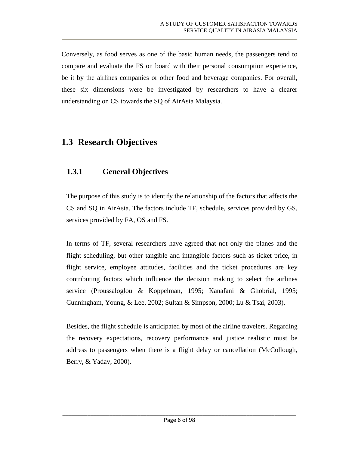Conversely, as food serves as one of the basic human needs, the passengers tend to compare and evaluate the FS on board with their personal consumption experience, be it by the airlines companies or other food and beverage companies. For overall, these six dimensions were be investigated by researchers to have a clearer understanding on CS towards the SQ of AirAsia Malaysia.

## **1.3 Research Objectives**

### <span id="page-21-0"></span>**1.3.1 General Objectives**

The purpose of this study is to identify the relationship of the factors that affects the CS and SQ in AirAsia. The factors include TF, schedule, services provided by GS, services provided by FA, OS and FS.

In terms of TF, several researchers have agreed that not only the planes and the flight scheduling, but other tangible and intangible factors such as ticket price, in flight service, employee attitudes, facilities and the ticket procedures are key contributing factors which influence the decision making to select the airlines service (Proussaloglou & Koppelman, 1995; Kanafani & Ghobrial, 1995; Cunningham, Young, & Lee, 2002; Sultan & Simpson, 2000; Lu & Tsai, 2003).

Besides, the flight schedule is anticipated by most of the airline travelers. Regarding the recovery expectations, recovery performance and justice realistic must be address to passengers when there is a flight delay or cancellation (McCollough, Berry, & Yadav, 2000).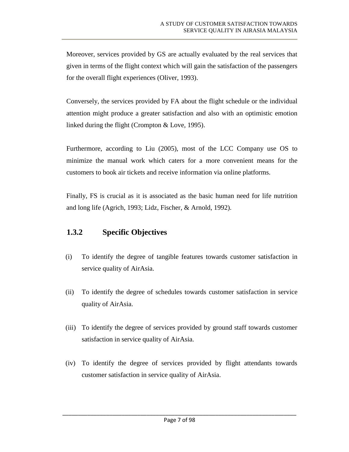<span id="page-22-0"></span>Moreover, services provided by GS are actually evaluated by the real services that given in terms of the flight context which will gain the satisfaction of the passengers for the overall flight experiences (Oliver, 1993).

Conversely, the services provided by FA about the flight schedule or the individual attention might produce a greater satisfaction and also with an optimistic emotion linked during the flight (Crompton & Love, 1995).

Furthermore, according to Liu (2005), most of the LCC Company use OS to minimize the manual work which caters for a more convenient means for the customers to book air tickets and receive information via online platforms.

Finally, FS is crucial as it is associated as the basic human need for life nutrition and long life (Agrich, 1993; Lidz, Fischer, & Arnold, 1992).

### **1.3.2 Specific Objectives**

- (i) To identify the degree of tangible features towards customer satisfaction in service quality of AirAsia.
- (ii) To identify the degree of schedules towards customer satisfaction in service quality of AirAsia.
- (iii) To identify the degree of services provided by ground staff towards customer satisfaction in service quality of AirAsia.
- (iv) To identify the degree of services provided by flight attendants towards customer satisfaction in service quality of AirAsia.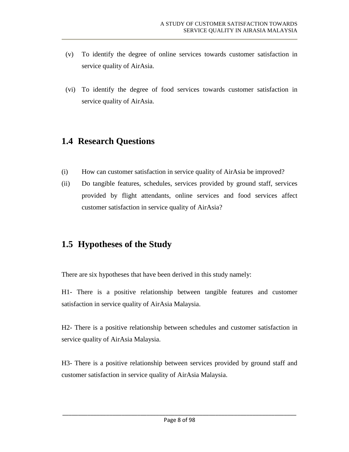- (v) To identify the degree of online services towards customer satisfaction in service quality of AirAsia.
- (vi) To identify the degree of food services towards customer satisfaction in service quality of AirAsia.

### <span id="page-23-0"></span>**1.4 Research Questions**

- (i) How can customer satisfaction in service quality of AirAsia be improved?
- (ii) Do tangible features, schedules, services provided by ground staff, services provided by flight attendants, online services and food services affect customer satisfaction in service quality of AirAsia?

## **1.5 Hypotheses of the Study**

There are six hypotheses that have been derived in this study namely:

H1- There is a positive relationship between tangible features and customer satisfaction in service quality of AirAsia Malaysia.

H2- There is a positive relationship between schedules and customer satisfaction in service quality of AirAsia Malaysia.

H3- There is a positive relationship between services provided by ground staff and customer satisfaction in service quality of AirAsia Malaysia.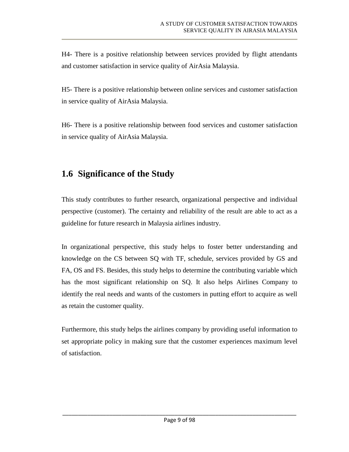<span id="page-24-0"></span>H4- There is a positive relationship between services provided by flight attendants and customer satisfaction in service quality of AirAsia Malaysia.

<span id="page-24-1"></span>H5- There is a positive relationship between online services and customer satisfaction in service quality of AirAsia Malaysia.

H6- There is a positive relationship between food services and customer satisfaction in service quality of AirAsia Malaysia.

## **1.6 Significance of the Study**

<span id="page-24-3"></span><span id="page-24-2"></span>This study contributes to further research, organizational perspective and individual perspective (customer). The certainty and reliability of the result are able to act as a guideline for future research in Malaysia airlines industry.

In organizational perspective, this study helps to foster better understanding and knowledge on the CS between SQ with TF, schedule, services provided by GS and FA, OS and FS. Besides, this study helps to determine the contributing variable which has the most significant relationship on SQ. It also helps Airlines Company to identify the real needs and wants of the customers in putting effort to acquire as well as retain the customer quality.

Furthermore, this study helps the airlines company by providing useful information to set appropriate policy in making sure that the customer experiences maximum level of satisfaction.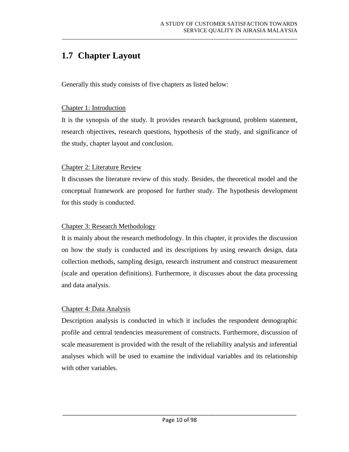# **1.7 Chapter Layout**

Generally this study consists of five chapters as listed below:

#### Chapter 1: Introduction

It is the synopsis of the study. It provides research background, problem statement, research objectives, research questions, hypothesis of the study, and significance of the study, chapter layout and conclusion.

### Chapter 2: Literature Review

It discusses the literature review of this study. Besides, the theoretical model and the conceptual framework are proposed for further study. The hypothesis development for this study is conducted.

### Chapter 3: Research Methodology

It is mainly about the research methodology. In this chapter, it provides the discussion on how the study is conducted and its descriptions by using research design, data collection methods, sampling design, research instrument and construct measurement (scale and operation definitions). Furthermore, it discusses about the data processing and data analysis.

### Chapter 4: Data Analysis

Description analysis is conducted in which it includes the respondent demographic profile and central tendencies measurement of constructs. Furthermore, discussion of scale measurement is provided with the result of the reliability analysis and inferential analyses which will be used to examine the individual variables and its relationship with other variables.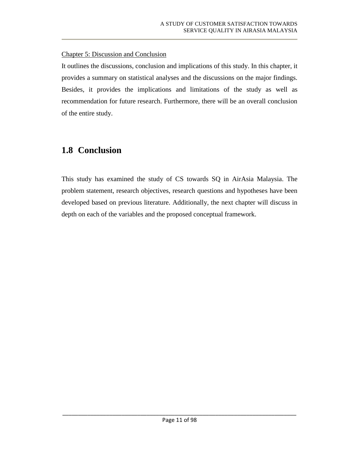#### <span id="page-26-0"></span>Chapter 5: Discussion and Conclusion

It outlines the discussions, conclusion and implications of this study. In this chapter, it provides a summary on statistical analyses and the discussions on the major findings. Besides, it provides the implications and limitations of the study as well as recommendation for future research. Furthermore, there will be an overall conclusion of the entire study.

## **1.8 Conclusion**

This study has examined the study of CS towards SQ in AirAsia Malaysia. The problem statement, research objectives, research questions and hypotheses have been developed based on previous literature. Additionally, the next chapter will discuss in depth on each of the variables and the proposed conceptual framework.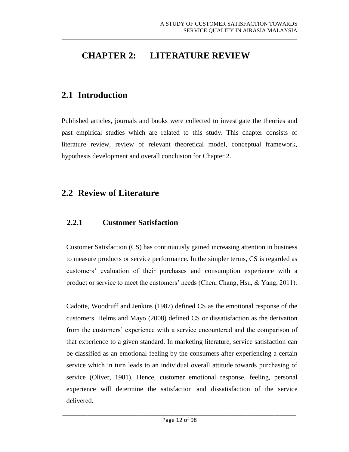# **CHAPTER 2: LITERATURE REVIEW**

## **2.1 Introduction**

Published articles, journals and books were collected to investigate the theories and past empirical studies which are related to this study. This chapter consists of literature review, review of relevant theoretical model, conceptual framework, hypothesis development and overall conclusion for Chapter 2.

### **2.2 Review of Literature**

### **2.2.1 Customer Satisfaction**

Customer Satisfaction (CS) has continuously gained increasing attention in business to measure products or service performance. In the simpler terms, CS is regarded as customers' evaluation of their purchases and consumption experience with a product or service to meet the customers' needs (Chen, Chang, Hsu, & Yang, 2011).

Cadotte, Woodruff and Jenkins (1987) defined CS as the emotional response of the customers. Helms and Mayo (2008) defined CS or dissatisfaction as the derivation from the customers' experience with a service encountered and the comparison of that experience to a given standard. In marketing literature, service satisfaction can be classified as an emotional feeling by the consumers after experiencing a certain service which in turn leads to an individual overall attitude towards purchasing of service (Oliver, 1981). Hence, customer emotional response, feeling, personal experience will determine the satisfaction and dissatisfaction of the service delivered.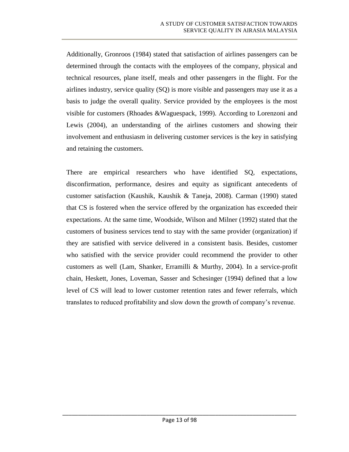<span id="page-28-0"></span>Additionally, Gronroos (1984) stated that satisfaction of airlines passengers can be determined through the contacts with the employees of the company, physical and technical resources, plane itself, meals and other passengers in the flight. For the airlines industry, service quality (SQ) is more visible and passengers may use it as a basis to judge the overall quality. Service provided by the employees is the most visible for customers (Rhoades &Waguespack, 1999). According to Lorenzoni and Lewis (2004), an understanding of the airlines customers and showing their involvement and enthusiasm in delivering customer services is the key in satisfying and retaining the customers.

There are empirical researchers who have identified SQ, expectations, disconfirmation, performance, desires and equity as significant antecedents of customer satisfaction (Kaushik, Kaushik & Taneja, 2008). Carman (1990) stated that CS is fostered when the service offered by the organization has exceeded their expectations. At the same time, Woodside, Wilson and Milner (1992) stated that the customers of business services tend to stay with the same provider (organization) if they are satisfied with service delivered in a consistent basis. Besides, customer who satisfied with the service provider could recommend the provider to other customers as well (Lam, Shanker, Erramilli & Murthy, 2004). In a service-profit chain, Heskett, Jones, Loveman, Sasser and Schesinger (1994) defined that a low level of CS will lead to lower customer retention rates and fewer referrals, which translates to reduced profitability and slow down the growth of company's revenue.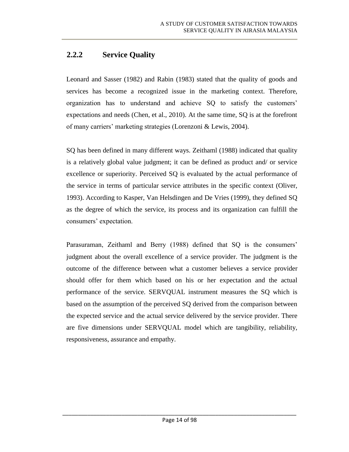### <span id="page-29-0"></span>**2.2.2 Service Quality**

Leonard and Sasser (1982) and Rabin (1983) stated that the quality of goods and services has become a recognized issue in the marketing context. Therefore, organization has to understand and achieve SQ to satisfy the customers' expectations and needs (Chen, et al., 2010). At the same time, SQ is at the forefront of many carriers' marketing strategies (Lorenzoni & Lewis, 2004).

SQ has been defined in many different ways. Zeithaml (1988) indicated that quality is a relatively global value judgment; it can be defined as product and/ or service excellence or superiority. Perceived SQ is evaluated by the actual performance of the service in terms of particular service attributes in the specific context (Oliver, 1993). According to Kasper, Van Helsdingen and De Vries (1999), they defined SQ as the degree of which the service, its process and its organization can fulfill the consumers' expectation.

Parasuraman, Zeithaml and Berry (1988) defined that SQ is the consumers' judgment about the overall excellence of a service provider. The judgment is the outcome of the difference between what a customer believes a service provider should offer for them which based on his or her expectation and the actual performance of the service. SERVQUAL instrument measures the SQ which is based on the assumption of the perceived SQ derived from the comparison between the expected service and the actual service delivered by the service provider. There are five dimensions under SERVQUAL model which are tangibility, reliability, responsiveness, assurance and empathy.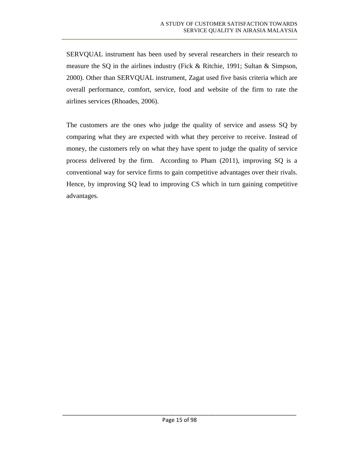<span id="page-30-1"></span><span id="page-30-0"></span>SERVQUAL instrument has been used by several researchers in their research to measure the SQ in the airlines industry (Fick & Ritchie, 1991; Sultan & Simpson, 2000). Other than SERVQUAL instrument, Zagat used five basis criteria which are overall performance, comfort, service, food and website of the firm to rate the airlines services (Rhoades, 2006).

The customers are the ones who judge the quality of service and assess SQ by comparing what they are expected with what they perceive to receive. Instead of money, the customers rely on what they have spent to judge the quality of service process delivered by the firm. According to Pham (2011), improving SQ is a conventional way for service firms to gain competitive advantages over their rivals. Hence, by improving SQ lead to improving CS which in turn gaining competitive advantages.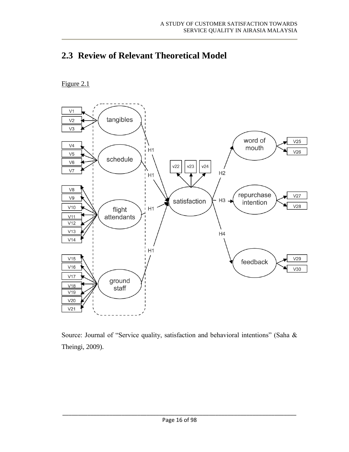# <span id="page-31-0"></span>**2.3 Review of Relevant Theoretical Model**

### Figure 2.1



Source: Journal of "Service quality, satisfaction and behavioral intentions" (Saha & Theingi, 2009).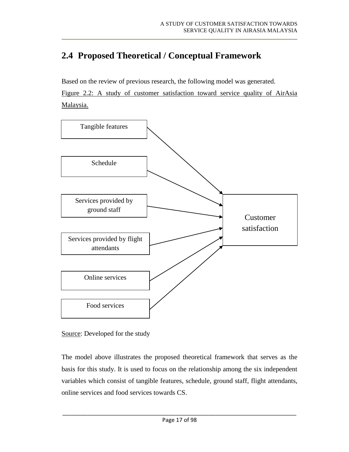# <span id="page-32-0"></span>**2.4 Proposed Theoretical / Conceptual Framework**

Based on the review of previous research, the following model was generated. Figure 2.2: A study of customer satisfaction toward service quality of AirAsia Malaysia.



<span id="page-32-1"></span>Source: Developed for the study

The model above illustrates the proposed theoretical framework that serves as the basis for this study. It is used to focus on the relationship among the six independent variables which consist of tangible features, schedule, ground staff, flight attendants, online services and food services towards CS.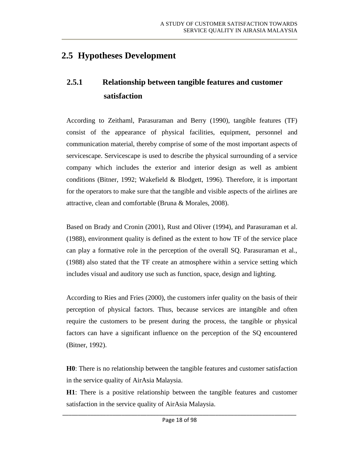## **2.5 Hypotheses Development**

# **2.5.1 Relationship between tangible features and customer satisfaction**

According to Zeithaml, Parasuraman and Berry (1990), tangible features (TF) consist of the appearance of physical facilities, equipment, personnel and communication material, thereby comprise of some of the most important aspects of servicescape. Servicescape is used to describe the physical surrounding of a service company which includes the exterior and interior design as well as ambient conditions (Bitner, 1992; Wakefield & Blodgett, 1996). Therefore, it is important for the operators to make sure that the tangible and visible aspects of the airlines are attractive, clean and comfortable (Bruna & Morales, 2008).

Based on Brady and Cronin (2001), Rust and Oliver (1994), and Parasuraman et al. (1988), environment quality is defined as the extent to how TF of the service place can play a formative role in the perception of the overall SQ. Parasuraman et al., (1988) also stated that the TF create an atmosphere within a service setting which includes visual and auditory use such as function, space, design and lighting.

According to Ries and Fries (2000), the customers infer quality on the basis of their perception of physical factors. Thus, because services are intangible and often require the customers to be present during the process, the tangible or physical factors can have a significant influence on the perception of the SQ encountered (Bitner, 1992).

**H0**: There is no relationship between the tangible features and customer satisfaction in the service quality of AirAsia Malaysia.

**H1**: There is a positive relationship between the tangible features and customer satisfaction in the service quality of AirAsia Malaysia.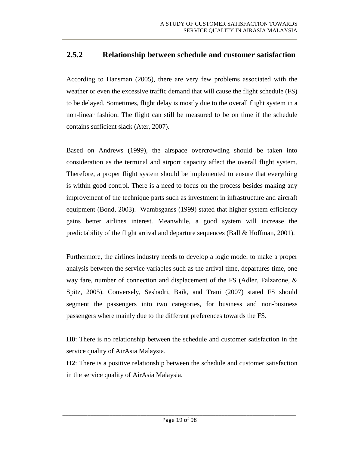### <span id="page-34-0"></span>**2.5.2 Relationship between schedule and customer satisfaction**

According to Hansman (2005), there are very few problems associated with the weather or even the excessive traffic demand that will cause the flight schedule (FS) to be delayed. Sometimes, flight delay is mostly due to the overall flight system in a non-linear fashion. The flight can still be measured to be on time if the schedule contains sufficient slack (Ater, 2007).

Based on Andrews (1999), the airspace overcrowding should be taken into consideration as the terminal and airport capacity affect the overall flight system. Therefore, a proper flight system should be implemented to ensure that everything is within good control. There is a need to focus on the process besides making any improvement of the technique parts such as investment in infrastructure and aircraft equipment (Bond, 2003). Wambsganss (1999) stated that higher system efficiency gains better airlines interest. Meanwhile, a good system will increase the predictability of the flight arrival and departure sequences (Ball & Hoffman, 2001).

Furthermore, the airlines industry needs to develop a logic model to make a proper analysis between the service variables such as the arrival time, departures time, one way fare, number of connection and displacement of the FS (Adler, Falzarone, & Spitz, 2005). Conversely, Seshadri, Baik, and Trani (2007) stated FS should segment the passengers into two categories, for business and non-business passengers where mainly due to the different preferences towards the FS.

**H0**: There is no relationship between the schedule and customer satisfaction in the service quality of AirAsia Malaysia.

**H2**: There is a positive relationship between the schedule and customer satisfaction in the service quality of AirAsia Malaysia.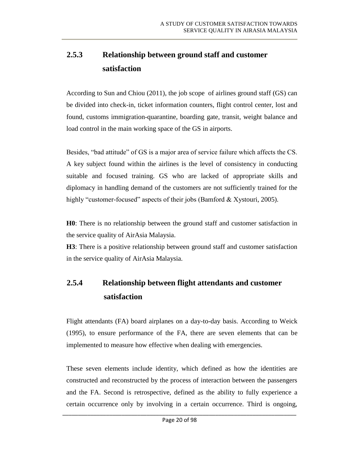# **2.5.3 Relationship between ground staff and customer satisfaction**

According to Sun and Chiou (2011), the job scope of airlines ground staff (GS) can be divided into check-in, ticket information counters, flight control center, lost and found, customs immigration-quarantine, boarding gate, transit, weight balance and load control in the main working space of the GS in airports.

Besides, "bad attitude" of GS is a major area of service failure which affects the CS. A key subject found within the airlines is the level of consistency in conducting suitable and focused training. GS who are lacked of appropriate skills and diplomacy in handling demand of the customers are not sufficiently trained for the highly "customer-focused" aspects of their jobs (Bamford & Xystouri, 2005).

<span id="page-35-0"></span>**H0**: There is no relationship between the ground staff and customer satisfaction in the service quality of AirAsia Malaysia.

**H3**: There is a positive relationship between ground staff and customer satisfaction in the service quality of AirAsia Malaysia.

# **2.5.4 Relationship between flight attendants and customer satisfaction**

Flight attendants (FA) board airplanes on a day-to-day basis. According to Weick (1995), to ensure performance of the FA, there are seven elements that can be implemented to measure how effective when dealing with emergencies.

These seven elements include identity, which defined as how the identities are constructed and reconstructed by the process of interaction between the passengers and the FA. Second is retrospective, defined as the ability to fully experience a certain occurrence only by involving in a certain occurrence. Third is ongoing,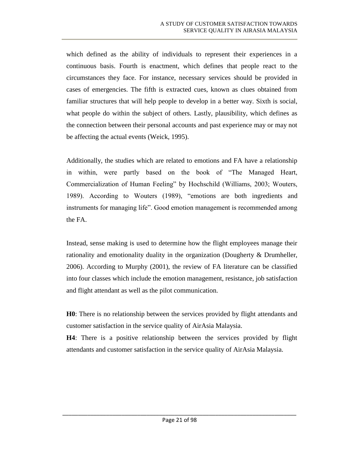which defined as the ability of individuals to represent their experiences in a continuous basis. Fourth is enactment, which defines that people react to the circumstances they face. For instance, necessary services should be provided in cases of emergencies. The fifth is extracted cues, known as clues obtained from familiar structures that will help people to develop in a better way. Sixth is social, what people do within the subject of others. Lastly, plausibility, which defines as the connection between their personal accounts and past experience may or may not be affecting the actual events (Weick, 1995).

Additionally, the studies which are related to emotions and FA have a relationship in within, were partly based on the book of "The Managed Heart, Commercialization of Human Feeling" by Hochschild (Williams, 2003; Wouters, 1989). According to Wouters (1989), "emotions are both ingredients and instruments for managing life". Good emotion management is recommended among the FA.

Instead, sense making is used to determine how the flight employees manage their rationality and emotionality duality in the organization (Dougherty & Drumheller, 2006). According to Murphy (2001), the review of FA literature can be classified into four classes which include the emotion management, resistance, job satisfaction and flight attendant as well as the pilot communication.

**H0**: There is no relationship between the services provided by flight attendants and customer satisfaction in the service quality of AirAsia Malaysia.

**H4**: There is a positive relationship between the services provided by flight attendants and customer satisfaction in the service quality of AirAsia Malaysia.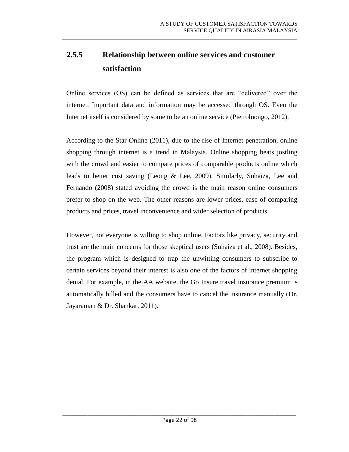# **2.5.5 Relationship between online services and customer satisfaction**

Online services (OS) can be defined as services that are "delivered" over the internet. Important data and information may be accessed through OS. Even the Internet itself is considered by some to be an online service (Pietroluongo, 2012).

According to the Star Online (2011), due to the rise of Internet penetration, online shopping through internet is a trend in Malaysia. Online shopping beats jostling with the crowd and easier to compare prices of comparable products online which leads to better cost saving (Leong & Lee, 2009). Similarly, Suhaiza, Lee and Fernando (2008) stated avoiding the crowd is the main reason online consumers prefer to shop on the web. The other reasons are lower prices, ease of comparing products and prices, travel inconvenience and wider selection of products.

However, not everyone is willing to shop online. Factors like privacy, security and trust are the main concerns for those skeptical users (Suhaiza et al., 2008). Besides, the program which is designed to trap the unwitting consumers to subscribe to certain services beyond their interest is also one of the factors of internet shopping denial. For example, in the AA website, the Go Insure travel insurance premium is automatically billed and the consumers have to cancel the insurance manually (Dr. Jayaraman & Dr. Shankar, 2011).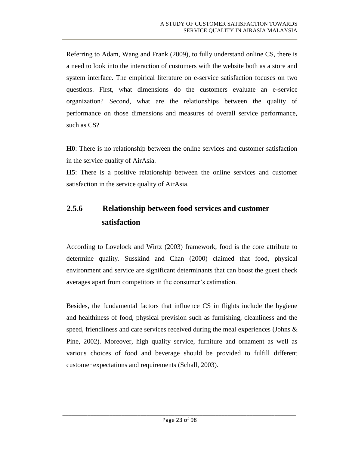Referring to Adam, Wang and Frank (2009), to fully understand online CS, there is a need to look into the interaction of customers with the website both as a store and system interface. The empirical literature on e-service satisfaction focuses on two questions. First, what dimensions do the customers evaluate an e-service organization? Second, what are the relationships between the quality of performance on those dimensions and measures of overall service performance, such as CS?

**H0**: There is no relationship between the online services and customer satisfaction in the service quality of AirAsia.

**H5**: There is a positive relationship between the online services and customer satisfaction in the service quality of AirAsia.

# **2.5.6 Relationship between food services and customer satisfaction**

According to Lovelock and Wirtz (2003) framework, food is the core attribute to determine quality. Susskind and Chan (2000) claimed that food, physical environment and service are significant determinants that can boost the guest check averages apart from competitors in the consumer's estimation.

Besides, the fundamental factors that influence CS in flights include the hygiene and healthiness of food, physical prevision such as furnishing, cleanliness and the speed, friendliness and care services received during the meal experiences (Johns & Pine, 2002). Moreover, high quality service, furniture and ornament as well as various choices of food and beverage should be provided to fulfill different customer expectations and requirements (Schall, 2003).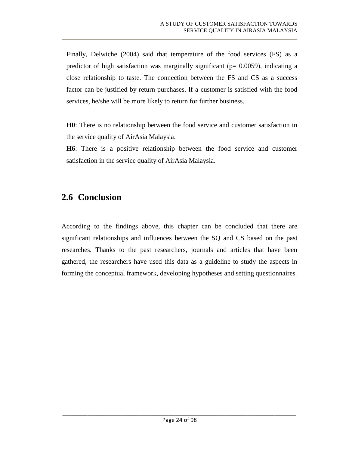Finally, Delwiche (2004) said that temperature of the food services (FS) as a predictor of high satisfaction was marginally significant ( $p= 0.0059$ ), indicating a close relationship to taste. The connection between the FS and CS as a success factor can be justified by return purchases. If a customer is satisfied with the food services, he/she will be more likely to return for further business.

**H0**: There is no relationship between the food service and customer satisfaction in the service quality of AirAsia Malaysia.

**H6**: There is a positive relationship between the food service and customer satisfaction in the service quality of AirAsia Malaysia.

# **2.6 Conclusion**

According to the findings above, this chapter can be concluded that there are significant relationships and influences between the SQ and CS based on the past researches. Thanks to the past researchers, journals and articles that have been gathered, the researchers have used this data as a guideline to study the aspects in forming the conceptual framework, developing hypotheses and setting questionnaires.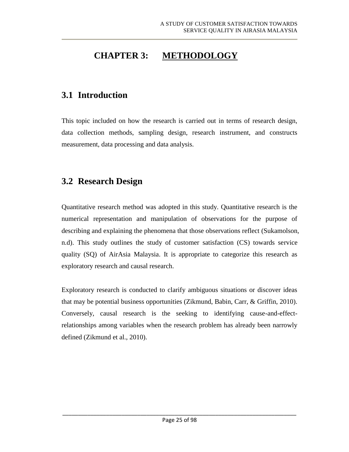# **CHAPTER 3: METHODOLOGY**

# **3.1 Introduction**

This topic included on how the research is carried out in terms of research design, data collection methods, sampling design, research instrument, and constructs measurement, data processing and data analysis.

# **3.2 Research Design**

Quantitative research method was adopted in this study. Quantitative research is the numerical representation and manipulation of observations for the purpose of describing and explaining the phenomena that those observations reflect (Sukamolson, n.d). This study outlines the study of customer satisfaction (CS) towards service quality (SQ) of AirAsia Malaysia. It is appropriate to categorize this research as exploratory research and causal research.

Exploratory research is conducted to clarify ambiguous situations or discover ideas that may be potential business opportunities (Zikmund, Babin, Carr, & Griffin, 2010). Conversely, causal research is the seeking to identifying cause-and-effectrelationships among variables when the research problem has already been narrowly defined (Zikmund et al., 2010).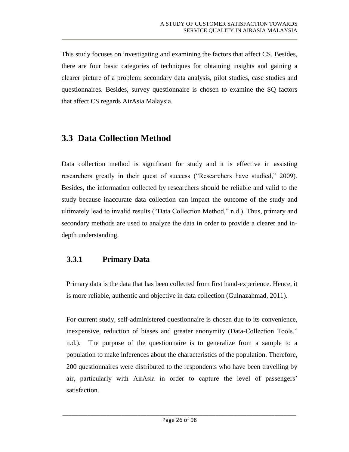This study focuses on investigating and examining the factors that affect CS. Besides, there are four basic categories of techniques for obtaining insights and gaining a clearer picture of a problem: secondary data analysis, pilot studies, case studies and questionnaires. Besides, survey questionnaire is chosen to examine the SQ factors that affect CS regards AirAsia Malaysia.

# **3.3 Data Collection Method**

Data collection method is significant for study and it is effective in assisting researchers greatly in their quest of success ("Researchers have studied," 2009). Besides, the information collected by researchers should be reliable and valid to the study because inaccurate data collection can impact the outcome of the study and ultimately lead to invalid results ("Data Collection Method," n.d.). Thus, primary and secondary methods are used to analyze the data in order to provide a clearer and indepth understanding.

### **3.3.1 Primary Data**

Primary data is the data that has been collected from first hand-experience. Hence, it is more reliable, authentic and objective in data collection (Gulnazahmad, 2011).

For current study, self-administered questionnaire is chosen due to its convenience, inexpensive, reduction of biases and greater anonymity (Data-Collection Tools," n.d.). The purpose of the questionnaire is to generalize from a sample to a population to make inferences about the characteristics of the population. Therefore, 200 questionnaires were distributed to the respondents who have been travelling by air, particularly with AirAsia in order to capture the level of passengers' satisfaction.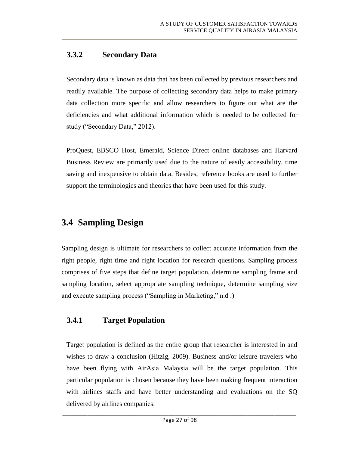## **3.3.2 Secondary Data**

Secondary data is known as data that has been collected by previous researchers and readily available. The purpose of collecting secondary data helps to make primary data collection more specific and allow researchers to figure out what are the deficiencies and what additional information which is needed to be collected for study ("Secondary Data," 2012).

ProQuest, EBSCO Host, Emerald, Science Direct online databases and Harvard Business Review are primarily used due to the nature of easily accessibility, time saving and inexpensive to obtain data. Besides, reference books are used to further support the terminologies and theories that have been used for this study.

# **3.4 Sampling Design**

Sampling design is ultimate for researchers to collect accurate information from the right people, right time and right location for research questions. Sampling process comprises of five steps that define target population, determine sampling frame and sampling location, select appropriate sampling technique, determine sampling size and execute sampling process ("Sampling in Marketing," n.d .)

## **3.4.1 Target Population**

Target population is defined as the entire group that researcher is interested in and wishes to draw a conclusion (Hitzig, 2009). Business and/or leisure travelers who have been flying with AirAsia Malaysia will be the target population. This particular population is chosen because they have been making frequent interaction with airlines staffs and have better understanding and evaluations on the SQ delivered by airlines companies.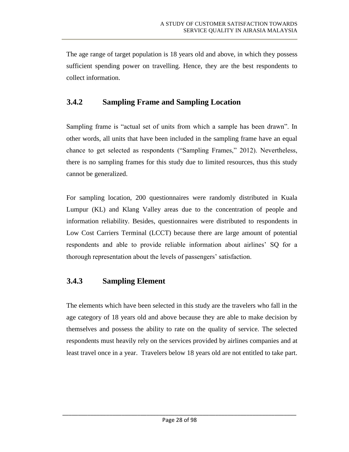The age range of target population is 18 years old and above, in which they possess sufficient spending power on travelling. Hence, they are the best respondents to collect information.

## **3.4.2 Sampling Frame and Sampling Location**

Sampling frame is "actual set of units from which a sample has been drawn". In other words, all units that have been included in the sampling frame have an equal chance to get selected as respondents ("Sampling Frames," 2012). Nevertheless, there is no sampling frames for this study due to limited resources, thus this study cannot be generalized.

For sampling location, 200 questionnaires were randomly distributed in Kuala Lumpur (KL) and Klang Valley areas due to the concentration of people and information reliability. Besides, questionnaires were distributed to respondents in Low Cost Carriers Terminal (LCCT) because there are large amount of potential respondents and able to provide reliable information about airlines' SQ for a thorough representation about the levels of passengers' satisfaction.

### **3.4.3 Sampling Element**

The elements which have been selected in this study are the travelers who fall in the age category of 18 years old and above because they are able to make decision by themselves and possess the ability to rate on the quality of service. The selected respondents must heavily rely on the services provided by airlines companies and at least travel once in a year. Travelers below 18 years old are not entitled to take part.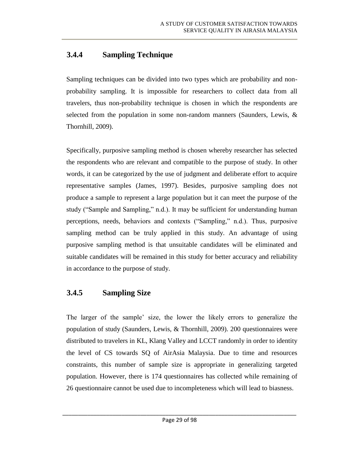## **3.4.4 Sampling Technique**

Sampling techniques can be divided into two types which are probability and nonprobability sampling. It is impossible for researchers to collect data from all travelers, thus non-probability technique is chosen in which the respondents are selected from the population in some non-random manners (Saunders, Lewis, & Thornhill, 2009).

Specifically, purposive sampling method is chosen whereby researcher has selected the respondents who are relevant and compatible to the purpose of study. In other words, it can be categorized by the use of judgment and deliberate effort to acquire representative samples (James, 1997). Besides, purposive sampling does not produce a sample to represent a large population but it can meet the purpose of the study ("Sample and Sampling," n.d.). It may be sufficient for understanding human perceptions, needs, behaviors and contexts ("Sampling," n.d.). Thus, purposive sampling method can be truly applied in this study. An advantage of using purposive sampling method is that unsuitable candidates will be eliminated and suitable candidates will be remained in this study for better accuracy and reliability in accordance to the purpose of study.

## **3.4.5 Sampling Size**

The larger of the sample' size, the lower the likely errors to generalize the population of study (Saunders, Lewis, & Thornhill, 2009). 200 questionnaires were distributed to travelers in KL, Klang Valley and LCCT randomly in order to identity the level of CS towards SQ of AirAsia Malaysia. Due to time and resources constraints, this number of sample size is appropriate in generalizing targeted population. However, there is 174 questionnaires has collected while remaining of 26 questionnaire cannot be used due to incompleteness which will lead to biasness.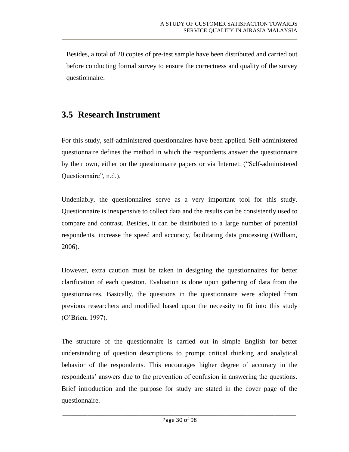Besides, a total of 20 copies of pre-test sample have been distributed and carried out before conducting formal survey to ensure the correctness and quality of the survey questionnaire.

# **3.5 Research Instrument**

For this study, self-administered questionnaires have been applied. Self-administered questionnaire defines the method in which the respondents answer the questionnaire by their own, either on the questionnaire papers or via Internet. ("Self-administered Questionnaire", n.d.).

Undeniably, the questionnaires serve as a very important tool for this study. Questionnaire is inexpensive to collect data and the results can be consistently used to compare and contrast. Besides, it can be distributed to a large number of potential respondents, increase the speed and accuracy, facilitating data processing (William, 2006).

However, extra caution must be taken in designing the questionnaires for better clarification of each question. Evaluation is done upon gathering of data from the questionnaires. Basically, the questions in the questionnaire were adopted from previous researchers and modified based upon the necessity to fit into this study (O'Brien, 1997).

The structure of the questionnaire is carried out in simple English for better understanding of question descriptions to prompt critical thinking and analytical behavior of the respondents. This encourages higher degree of accuracy in the respondents' answers due to the prevention of confusion in answering the questions. Brief introduction and the purpose for study are stated in the cover page of the questionnaire.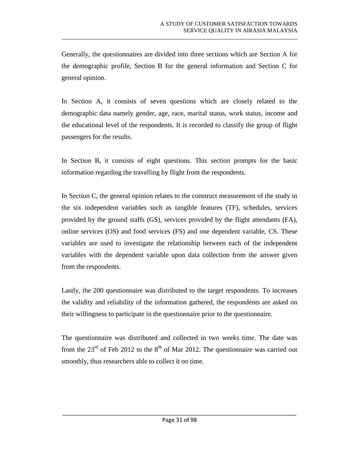Generally, the questionnaires are divided into three sections which are Section A for the demographic profile, Section B for the general information and Section C for general opinion.

In Section A, it consists of seven questions which are closely related to the demographic data namely gender, age, race, marital status, work status, income and the educational level of the respondents. It is recorded to classify the group of flight passengers for the results.

In Section B, it consists of eight questions. This section prompts for the basic information regarding the travelling by flight from the respondents.

In Section C, the general opinion relates to the construct measurement of the study in the six independent variables such as tangible features (TF), schedules, services provided by the ground staffs (GS), services provided by the flight attendants (FA), online services (OS) and food services (FS) and one dependent variable, CS. These variables are used to investigate the relationship between each of the independent variables with the dependent variable upon data collection from the answer given from the respondents.

Lastly, the 200 questionnaire was distributed to the target respondents. To increases the validity and reliability of the information gathered, the respondents are asked on their willingness to participate in the questionnaire prior to the questionnaire.

The questionnaire was distributed and collected in two weeks time. The date was from the  $23<sup>rd</sup>$  of Feb 2012 to the  $8<sup>th</sup>$  of Mar 2012. The questionnaire was carried out smoothly, thus researchers able to collect it on time.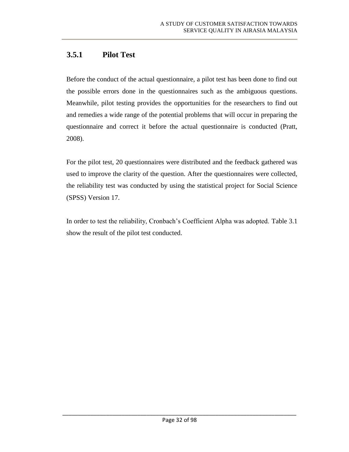## **3.5.1 Pilot Test**

Before the conduct of the actual questionnaire, a pilot test has been done to find out the possible errors done in the questionnaires such as the ambiguous questions. Meanwhile, pilot testing provides the opportunities for the researchers to find out and remedies a wide range of the potential problems that will occur in preparing the questionnaire and correct it before the actual questionnaire is conducted (Pratt, 2008).

For the pilot test, 20 questionnaires were distributed and the feedback gathered was used to improve the clarity of the question. After the questionnaires were collected, the reliability test was conducted by using the statistical project for Social Science (SPSS) Version 17.

In order to test the reliability, Cronbach's Coefficient Alpha was adopted. Table 3.1 show the result of the pilot test conducted.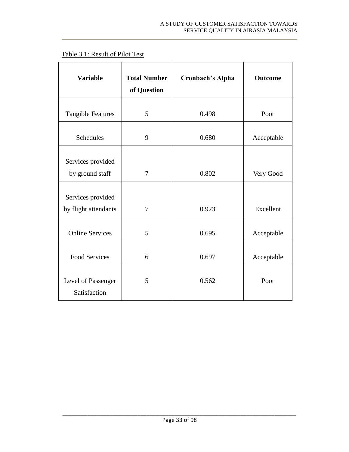| <b>Variable</b>                           | <b>Total Number</b><br>of Question | <b>Cronbach's Alpha</b> | <b>Outcome</b> |
|-------------------------------------------|------------------------------------|-------------------------|----------------|
| <b>Tangible Features</b>                  | 5                                  | 0.498                   | Poor           |
| Schedules                                 | 9                                  | 0.680                   | Acceptable     |
| Services provided<br>by ground staff      | 7                                  | 0.802                   | Very Good      |
| Services provided<br>by flight attendants | $\overline{7}$                     | 0.923                   | Excellent      |
| <b>Online Services</b>                    | 5                                  | 0.695                   | Acceptable     |
| <b>Food Services</b>                      | 6                                  | 0.697                   | Acceptable     |
| Level of Passenger<br>Satisfaction        | 5                                  | 0.562                   | Poor           |

#### Table 3.1: Result of Pilot Test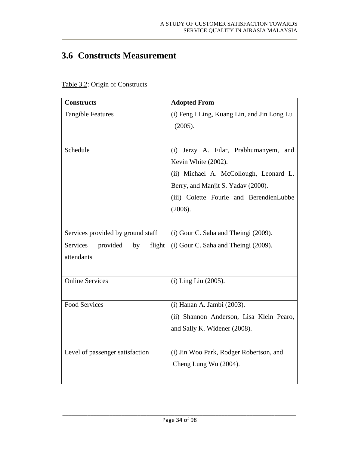# **3.6 Constructs Measurement**

| <b>Constructs</b>                    | <b>Adopted From</b>                         |  |
|--------------------------------------|---------------------------------------------|--|
| <b>Tangible Features</b>             | (i) Feng I Ling, Kuang Lin, and Jin Long Lu |  |
|                                      | (2005).                                     |  |
|                                      |                                             |  |
| Schedule                             | Jerzy A. Filar, Prabhumanyem,<br>(i)<br>and |  |
|                                      | Kevin White (2002).                         |  |
|                                      | (ii) Michael A. McCollough, Leonard L.      |  |
|                                      | Berry, and Manjit S. Yadav (2000).          |  |
|                                      | (iii) Colette Fourie and BerendienLubbe     |  |
|                                      | (2006).                                     |  |
|                                      |                                             |  |
| Services provided by ground staff    | (i) Gour C. Saha and Theingi (2009).        |  |
| provided<br>Services<br>flight<br>by | (i) Gour C. Saha and Theingi (2009).        |  |
| attendants                           |                                             |  |
|                                      |                                             |  |
| <b>Online Services</b>               | (i) Ling Liu (2005).                        |  |
|                                      |                                             |  |
| <b>Food Services</b>                 | (i) Hanan A. Jambi (2003).                  |  |
|                                      | (ii) Shannon Anderson, Lisa Klein Pearo,    |  |
|                                      | and Sally K. Widener (2008).                |  |
|                                      |                                             |  |
| Level of passenger satisfaction      | (i) Jin Woo Park, Rodger Robertson, and     |  |
|                                      | Cheng Lung Wu (2004).                       |  |
|                                      |                                             |  |

Table 3.2: Origin of Constructs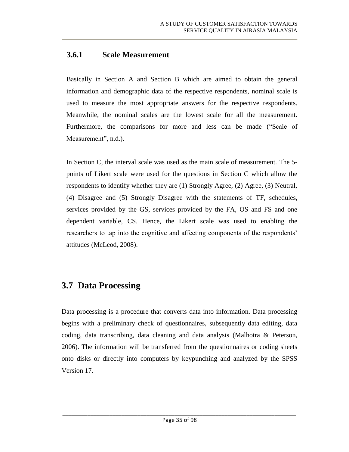## **3.6.1 Scale Measurement**

Basically in Section A and Section B which are aimed to obtain the general information and demographic data of the respective respondents, nominal scale is used to measure the most appropriate answers for the respective respondents. Meanwhile, the nominal scales are the lowest scale for all the measurement. Furthermore, the comparisons for more and less can be made ("Scale of Measurement", n.d.).

In Section C, the interval scale was used as the main scale of measurement. The 5 points of Likert scale were used for the questions in Section C which allow the respondents to identify whether they are (1) Strongly Agree, (2) Agree, (3) Neutral, (4) Disagree and (5) Strongly Disagree with the statements of TF, schedules, services provided by the GS, services provided by the FA, OS and FS and one dependent variable, CS. Hence, the Likert scale was used to enabling the researchers to tap into the cognitive and affecting components of the respondents' attitudes (McLeod, 2008).

# **3.7 Data Processing**

Data processing is a procedure that converts data into information. Data processing begins with a preliminary check of questionnaires, subsequently data editing, data coding, data transcribing, data cleaning and data analysis (Malhotra & Peterson, 2006). The information will be transferred from the questionnaires or coding sheets onto disks or directly into computers by keypunching and analyzed by the SPSS Version 17.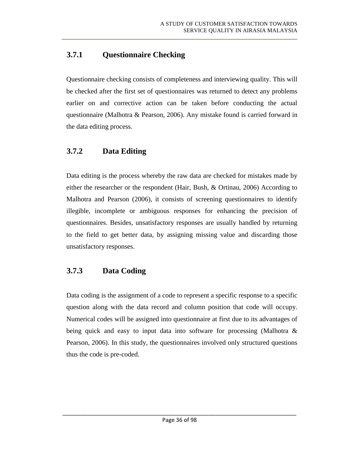## **3.7.1 Questionnaire Checking**

Questionnaire checking consists of completeness and interviewing quality. This will be checked after the first set of questionnaires was returned to detect any problems earlier on and corrective action can be taken before conducting the actual questionnaire (Malhotra & Pearson, 2006). Any mistake found is carried forward in the data editing process.

### **3.7.2 Data Editing**

Data editing is the process whereby the raw data are checked for mistakes made by either the researcher or the respondent (Hair, Bush, & Ortinau, 2006) According to Malhotra and Pearson (2006), it consists of screening questionnaires to identify illegible, incomplete or ambiguous responses for enhancing the precision of questionnaires. Besides, unsatisfactory responses are usually handled by returning to the field to get better data, by assigning missing value and discarding those unsatisfactory responses.

## **3.7.3 Data Coding**

Data coding is the assignment of a code to represent a specific response to a specific question along with the data record and column position that code will occupy. Numerical codes will be assigned into questionnaire at first due to its advantages of being quick and easy to input data into software for processing (Malhotra & Pearson, 2006). In this study, the questionnaires involved only structured questions thus the code is pre-coded.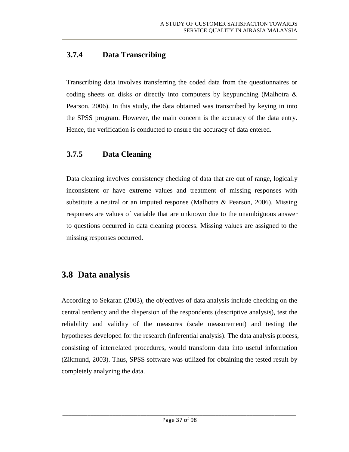## **3.7.4 Data Transcribing**

Transcribing data involves transferring the coded data from the questionnaires or coding sheets on disks or directly into computers by keypunching (Malhotra & Pearson, 2006). In this study, the data obtained was transcribed by keying in into the SPSS program. However, the main concern is the accuracy of the data entry. Hence, the verification is conducted to ensure the accuracy of data entered.

### **3.7.5 Data Cleaning**

Data cleaning involves consistency checking of data that are out of range, logically inconsistent or have extreme values and treatment of missing responses with substitute a neutral or an imputed response (Malhotra & Pearson, 2006). Missing responses are values of variable that are unknown due to the unambiguous answer to questions occurred in data cleaning process. Missing values are assigned to the missing responses occurred.

# **3.8 Data analysis**

According to Sekaran (2003), the objectives of data analysis include checking on the central tendency and the dispersion of the respondents (descriptive analysis), test the reliability and validity of the measures (scale measurement) and testing the hypotheses developed for the research (inferential analysis). The data analysis process, consisting of interrelated procedures, would transform data into useful information (Zikmund, 2003). Thus, SPSS software was utilized for obtaining the tested result by completely analyzing the data.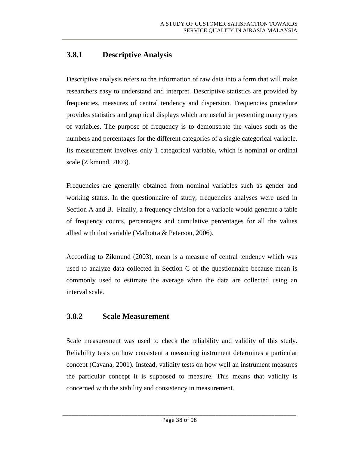## **3.8.1 Descriptive Analysis**

Descriptive analysis refers to the information of raw data into a form that will make researchers easy to understand and interpret. Descriptive statistics are provided by frequencies, measures of central tendency and dispersion. Frequencies procedure provides statistics and graphical displays which are useful in presenting many types of variables. The purpose of frequency is to demonstrate the values such as the numbers and percentages for the different categories of a single categorical variable. Its measurement involves only 1 categorical variable, which is nominal or ordinal scale (Zikmund, 2003).

Frequencies are generally obtained from nominal variables such as gender and working status. In the questionnaire of study, frequencies analyses were used in Section A and B. Finally, a frequency division for a variable would generate a table of frequency counts, percentages and cumulative percentages for all the values allied with that variable (Malhotra & Peterson, 2006).

According to Zikmund (2003), mean is a measure of central tendency which was used to analyze data collected in Section C of the questionnaire because mean is commonly used to estimate the average when the data are collected using an interval scale.

### **3.8.2 Scale Measurement**

Scale measurement was used to check the reliability and validity of this study. Reliability tests on how consistent a measuring instrument determines a particular concept (Cavana, 2001). Instead, validity tests on how well an instrument measures the particular concept it is supposed to measure. This means that validity is concerned with the stability and consistency in measurement.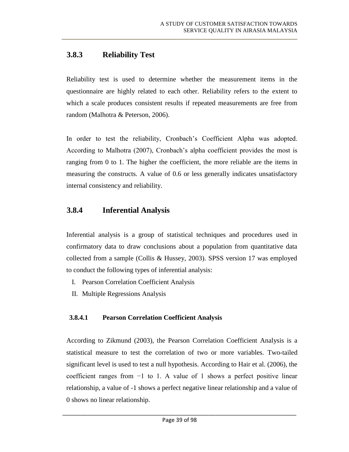## **3.8.3 Reliability Test**

Reliability test is used to determine whether the measurement items in the questionnaire are highly related to each other. Reliability refers to the extent to which a scale produces consistent results if repeated measurements are free from random (Malhotra & Peterson, 2006).

In order to test the reliability, Cronbach's Coefficient Alpha was adopted. According to Malhotra (2007), Cronbach's alpha coefficient provides the most is ranging from 0 to 1. The higher the coefficient, the more reliable are the items in measuring the constructs. A value of 0.6 or less generally indicates unsatisfactory internal consistency and reliability.

### **3.8.4 Inferential Analysis**

Inferential analysis is a group of statistical techniques and procedures used in confirmatory data to draw conclusions about a population from quantitative data collected from a sample (Collis & Hussey, 2003). SPSS version 17 was employed to conduct the following types of inferential analysis:

- I. Pearson Correlation Coefficient Analysis
- II. Multiple Regressions Analysis

### **3.8.4.1 Pearson Correlation Coefficient Analysis**

According to Zikmund (2003), the Pearson Correlation Coefficient Analysis is a statistical measure to test the correlation of two or more variables. Two-tailed significant level is used to test a null hypothesis. According to Hair et al. (2006), the coefficient ranges from −1 to 1. A value of 1 shows a perfect positive linear relationship, a value of -1 shows a perfect negative linear relationship and a value of 0 shows no linear relationship.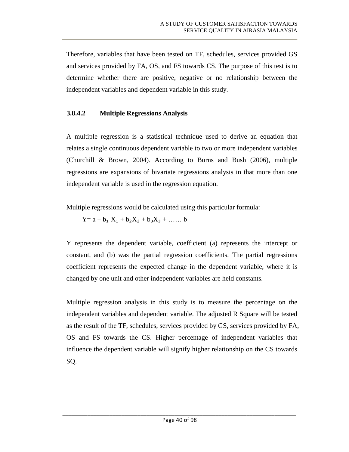Therefore, variables that have been tested on TF, schedules, services provided GS and services provided by FA, OS, and FS towards CS. The purpose of this test is to determine whether there are positive, negative or no relationship between the independent variables and dependent variable in this study.

#### **3.8.4.2 Multiple Regressions Analysis**

A multiple regression is a statistical technique used to derive an equation that relates a single continuous dependent variable to two or more independent variables (Churchill & Brown, 2004). According to Burns and Bush (2006), multiple regressions are expansions of bivariate regressions analysis in that more than one independent variable is used in the regression equation.

Multiple regressions would be calculated using this particular formula:

 $Y = a + b_1 X_1 + b_2 X_2 + b_3 X_3 + \ldots$  b

Y represents the dependent variable, coefficient (a) represents the intercept or constant, and (b) was the partial regression coefficients. The partial regressions coefficient represents the expected change in the dependent variable, where it is changed by one unit and other independent variables are held constants.

Multiple regression analysis in this study is to measure the percentage on the independent variables and dependent variable. The adjusted R Square will be tested as the result of the TF, schedules, services provided by GS, services provided by FA, OS and FS towards the CS. Higher percentage of independent variables that influence the dependent variable will signify higher relationship on the CS towards SQ.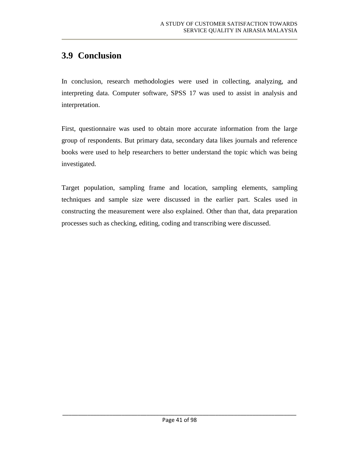# **3.9 Conclusion**

In conclusion, research methodologies were used in collecting, analyzing, and interpreting data. Computer software, SPSS 17 was used to assist in analysis and interpretation.

First, questionnaire was used to obtain more accurate information from the large group of respondents. But primary data, secondary data likes journals and reference books were used to help researchers to better understand the topic which was being investigated.

Target population, sampling frame and location, sampling elements, sampling techniques and sample size were discussed in the earlier part. Scales used in constructing the measurement were also explained. Other than that, data preparation processes such as checking, editing, coding and transcribing were discussed.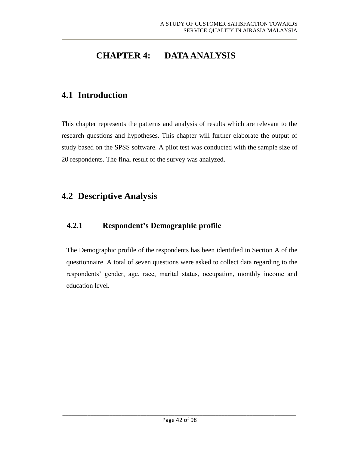# **CHAPTER 4: DATA ANALYSIS**

## **4.1 Introduction**

This chapter represents the patterns and analysis of results which are relevant to the research questions and hypotheses. This chapter will further elaborate the output of study based on the SPSS software. A pilot test was conducted with the sample size of 20 respondents. The final result of the survey was analyzed.

# **4.2 Descriptive Analysis**

## **4.2.1 Respondent's Demographic profile**

The Demographic profile of the respondents has been identified in Section A of the questionnaire. A total of seven questions were asked to collect data regarding to the respondents' gender, age, race, marital status, occupation, monthly income and education level.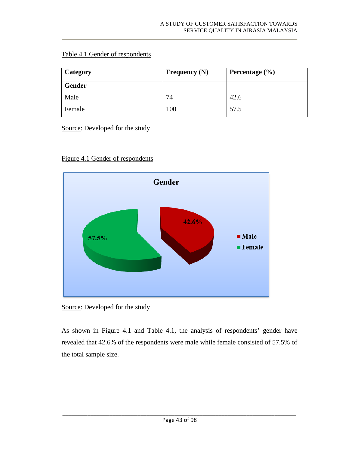#### Table 4.1 Gender of respondents

| Category      | Frequency $(N)$ | Percentage $(\% )$ |
|---------------|-----------------|--------------------|
| <b>Gender</b> |                 |                    |
| Male          | 74              | 42.6               |
| Female        | 100             | 57.5               |

Source: Developed for the study



Figure 4.1 Gender of respondents

Source: Developed for the study

As shown in Figure 4.1 and Table 4.1, the analysis of respondents' gender have revealed that 42.6% of the respondents were male while female consisted of 57.5% of the total sample size.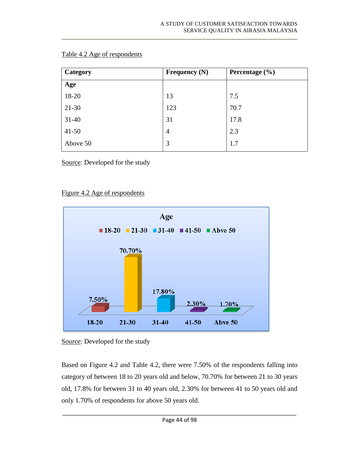| Category  | <b>Frequency (N)</b> | Percentage $(\% )$ |
|-----------|----------------------|--------------------|
| Age       |                      |                    |
| 18-20     | 13                   | 7.5                |
| 21-30     | 123                  | 70.7               |
| $31 - 40$ | 31                   | 17.8               |
| $41 - 50$ | $\overline{4}$       | 2.3                |
| Above 50  | 3                    | 1.7                |

| Table 4.2 Age of respondents |
|------------------------------|
|------------------------------|

Source: Developed for the study

#### Figure 4.2 Age of respondents



Source: Developed for the study

Based on Figure 4.2 and Table 4.2, there were 7.50% of the respondents falling into category of between 18 to 20 years old and below, 70.70% for between 21 to 30 years old, 17.8% for between 31 to 40 years old, 2.30% for between 41 to 50 years old and only 1.70% of respondents for above 50 years old.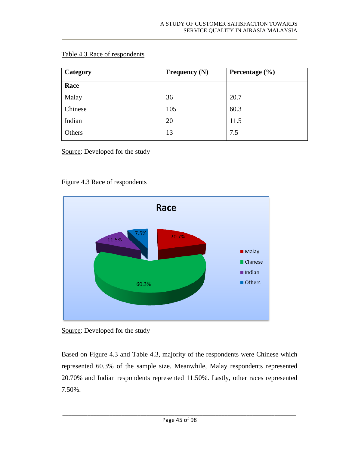#### Table 4.3 Race of respondents

| Category | Frequency $(N)$ | Percentage $(\% )$ |
|----------|-----------------|--------------------|
| Race     |                 |                    |
| Malay    | 36              | 20.7               |
| Chinese  | 105             | 60.3               |
| Indian   | 20              | 11.5               |
| Others   | 13              | 7.5                |

Source: Developed for the study

#### Figure 4.3 Race of respondents



Source: Developed for the study

Based on Figure 4.3 and Table 4.3, majority of the respondents were Chinese which represented 60.3% of the sample size. Meanwhile, Malay respondents represented 20.70% and Indian respondents represented 11.50%. Lastly, other races represented 7.50%.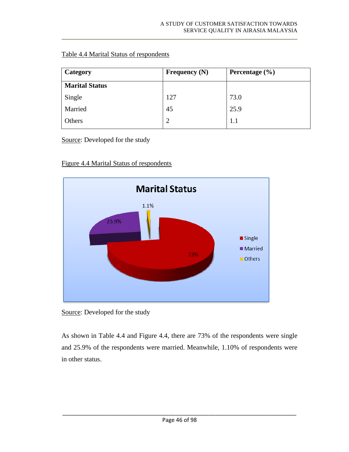#### Table 4.4 Marital Status of respondents

| <b>Category</b>       | Frequency $(N)$ | Percentage $(\% )$ |
|-----------------------|-----------------|--------------------|
| <b>Marital Status</b> |                 |                    |
| Single                | 127             | 73.0               |
| Married               | 45              | 25.9               |
| Others                | $\mathcal{D}$   | 1.1                |

Source: Developed for the study

#### Figure 4.4 Marital Status of respondents



Source: Developed for the study

As shown in Table 4.4 and Figure 4.4, there are 73% of the respondents were single and 25.9% of the respondents were married. Meanwhile, 1.10% of respondents were in other status.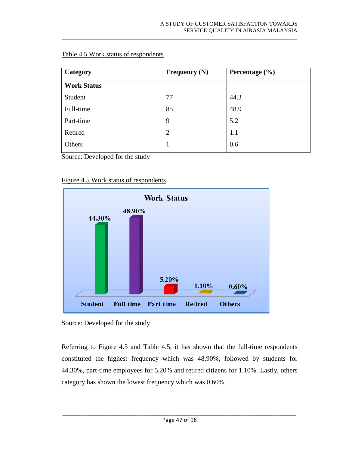#### Table 4.5 Work status of respondents

| Category           | Frequency $(N)$ | Percentage $(\% )$ |
|--------------------|-----------------|--------------------|
| <b>Work Status</b> |                 |                    |
| Student            | 77              | 44.3               |
| Full-time          | 85              | 48.9               |
| Part-time          | 9               | 5.2                |
| Retired            | $\overline{2}$  | 1.1                |
| Others             | 1               | 0.6                |

Source: Developed for the study

#### Figure 4.5 Work status of respondents



Source: Developed for the study

Referring to Figure 4.5 and Table 4.5, it has shown that the full-time respondents constituted the highest frequency which was 48.90%, followed by students for 44.30%, part-time employees for 5.20% and retired citizens for 1.10%. Lastly, others category has shown the lowest frequency which was 0.60%.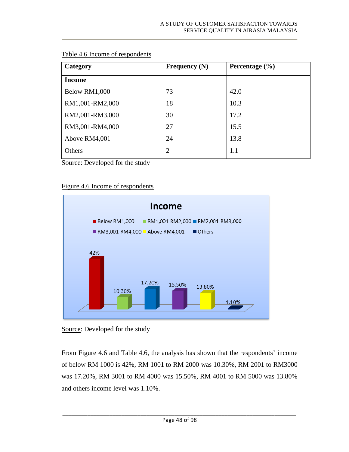| Category        | Frequency $(N)$ | Percentage $(\% )$ |
|-----------------|-----------------|--------------------|
| <b>Income</b>   |                 |                    |
| Below RM1,000   | 73              | 42.0               |
| RM1,001-RM2,000 | 18              | 10.3               |
| RM2,001-RM3,000 | 30              | 17.2               |
| RM3,001-RM4,000 | 27              | 15.5               |
| Above RM4,001   | 24              | 13.8               |
| Others          | $\overline{2}$  | 1.1                |

#### Table 4.6 Income of respondents

Source: Developed for the study

#### Figure 4.6 Income of respondents



Source: Developed for the study

From Figure 4.6 and Table 4.6, the analysis has shown that the respondents' income of below RM 1000 is 42%, RM 1001 to RM 2000 was 10.30%, RM 2001 to RM3000 was 17.20%, RM 3001 to RM 4000 was 15.50%, RM 4001 to RM 5000 was 13.80% and others income level was 1.10%.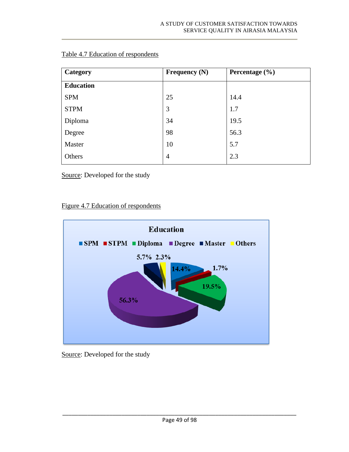| Category         | Frequency $(N)$ | Percentage $(\% )$ |
|------------------|-----------------|--------------------|
| <b>Education</b> |                 |                    |
| <b>SPM</b>       | 25              | 14.4               |
| <b>STPM</b>      | 3               | 1.7                |
| Diploma          | 34              | 19.5               |
| Degree           | 98              | 56.3               |
| Master           | 10              | 5.7                |
| Others           | $\overline{4}$  | 2.3                |

#### Table 4.7 Education of respondents

Source: Developed for the study

#### Figure 4.7 Education of respondents



#### Source: Developed for the study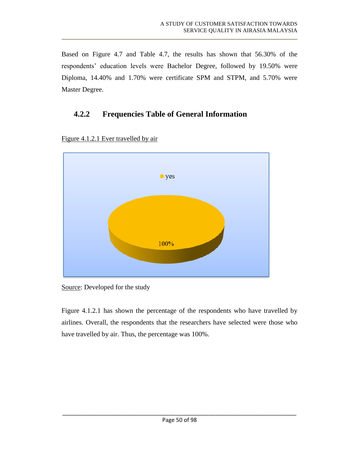Based on Figure 4.7 and Table 4.7, the results has shown that 56.30% of the respondents' education levels were Bachelor Degree, followed by 19.50% were Diploma, 14.40% and 1.70% were certificate SPM and STPM, and 5.70% were Master Degree.

## **4.2.2 Frequencies Table of General Information**



Figure 4.1.2.1 Ever travelled by air

Source: Developed for the study

Figure 4.1.2.1 has shown the percentage of the respondents who have travelled by airlines. Overall, the respondents that the researchers have selected were those who have travelled by air. Thus, the percentage was 100%.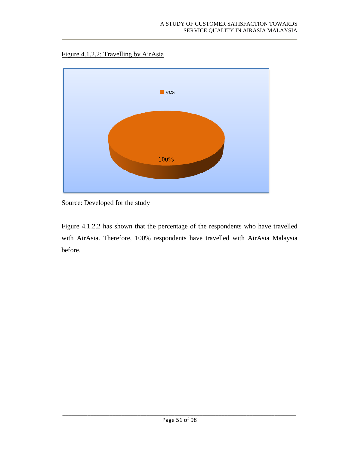Figure 4.1.2.2: Travelling by AirAsia



Source: Developed for the study

Figure 4.1.2.2 has shown that the percentage of the respondents who have travelled with AirAsia. Therefore, 100% respondents have travelled with AirAsia Malaysia before.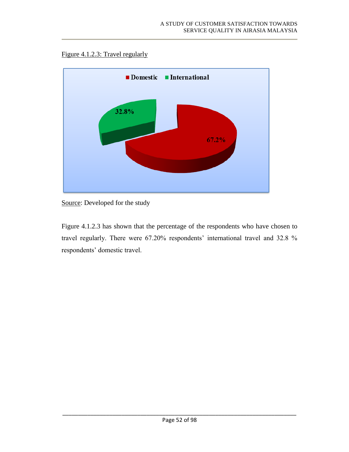#### Figure 4.1.2.3: Travel regularly



Source: Developed for the study

Figure 4.1.2.3 has shown that the percentage of the respondents who have chosen to travel regularly. There were 67.20% respondents' international travel and 32.8 % respondents' domestic travel.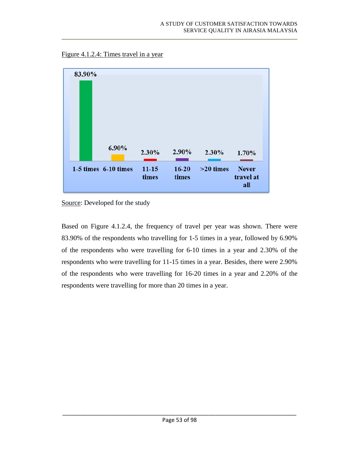



Source: Developed for the study

Based on Figure 4.1.2.4, the frequency of travel per year was shown. There were 83.90% of the respondents who travelling for 1-5 times in a year, followed by 6.90% of the respondents who were travelling for 6-10 times in a year and 2.30% of the respondents who were travelling for 11-15 times in a year. Besides, there were 2.90% of the respondents who were travelling for 16-20 times in a year and 2.20% of the respondents were travelling for more than 20 times in a year.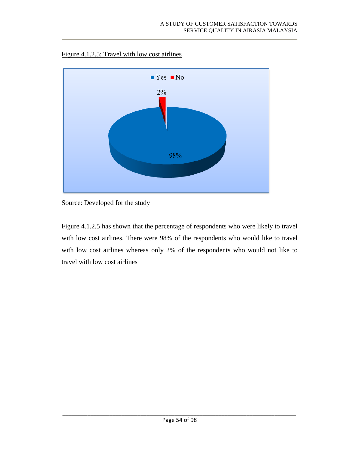

Figure 4.1.2.5: Travel with low cost airlines

Figure 4.1.2.5 has shown that the percentage of respondents who were likely to travel with low cost airlines. There were 98% of the respondents who would like to travel with low cost airlines whereas only 2% of the respondents who would not like to travel with low cost airlines

Source: Developed for the study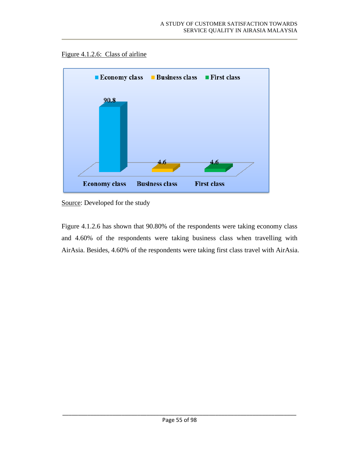



Source: Developed for the study

Figure 4.1.2.6 has shown that 90.80% of the respondents were taking economy class and 4.60% of the respondents were taking business class when travelling with AirAsia. Besides, 4.60% of the respondents were taking first class travel with AirAsia.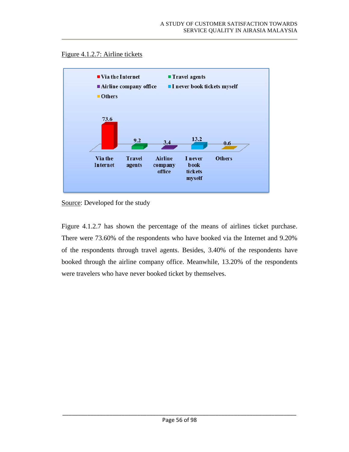



Source: Developed for the study

Figure 4.1.2.7 has shown the percentage of the means of airlines ticket purchase. There were 73.60% of the respondents who have booked via the Internet and 9.20% of the respondents through travel agents. Besides, 3.40% of the respondents have booked through the airline company office. Meanwhile, 13.20% of the respondents were travelers who have never booked ticket by themselves.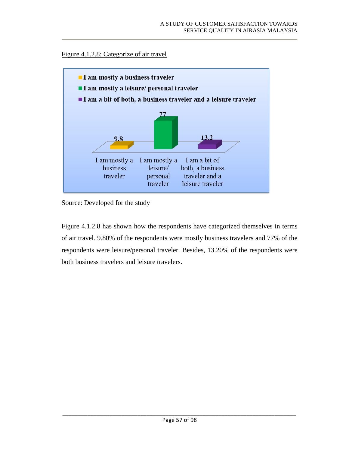#### Figure 4.1.2.8: Categorize of air travel



Source: Developed for the study

Figure 4.1.2.8 has shown how the respondents have categorized themselves in terms of air travel. 9.80% of the respondents were mostly business travelers and 77% of the respondents were leisure/personal traveler. Besides, 13.20% of the respondents were both business travelers and leisure travelers.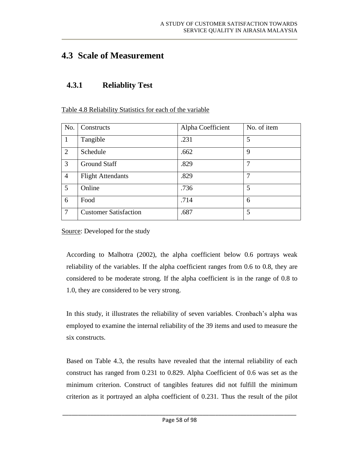## **4.3 Scale of Measurement**

### **4.3.1 Reliablity Test**

Table 4.8 Reliability Statistics for each of the variable

| No.             | Constructs                   | Alpha Coefficient | No. of item |
|-----------------|------------------------------|-------------------|-------------|
|                 | Tangible                     | .231              | 5           |
| 2               | Schedule                     | .662              | 9           |
| 3               | <b>Ground Staff</b>          | .829              | 7           |
| $\overline{4}$  | <b>Flight Attendants</b>     | .829              | 7           |
| $5\overline{)}$ | Online                       | .736              | 5           |
| 6               | Food                         | .714              | 6           |
| $7\phantom{.0}$ | <b>Customer Satisfaction</b> | .687              | 5           |

Source: Developed for the study

According to Malhotra (2002), the alpha coefficient below 0.6 portrays weak reliability of the variables. If the alpha coefficient ranges from 0.6 to 0.8, they are considered to be moderate strong. If the alpha coefficient is in the range of 0.8 to 1.0, they are considered to be very strong.

In this study, it illustrates the reliability of seven variables. Cronbach's alpha was employed to examine the internal reliability of the 39 items and used to measure the six constructs.

Based on Table 4.3, the results have revealed that the internal reliability of each construct has ranged from 0.231 to 0.829. Alpha Coefficient of 0.6 was set as the minimum criterion. Construct of tangibles features did not fulfill the minimum criterion as it portrayed an alpha coefficient of 0.231. Thus the result of the pilot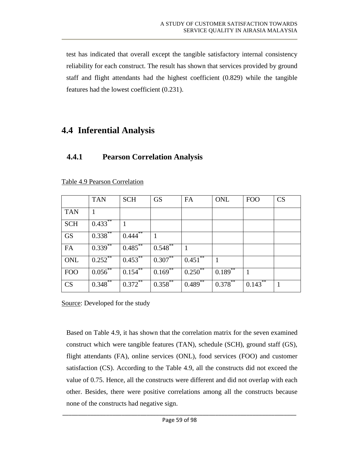test has indicated that overall except the tangible satisfactory internal consistency reliability for each construct. The result has shown that services provided by ground staff and flight attendants had the highest coefficient (0.829) while the tangible features had the lowest coefficient (0.231).

## **4.4 Inferential Analysis**

### **4.4.1 Pearson Correlation Analysis**

|            | <b>TAN</b> | <b>SCH</b>  | <b>GS</b>  | FA           | ONL        | <b>FOO</b>   | CS |
|------------|------------|-------------|------------|--------------|------------|--------------|----|
| <b>TAN</b> | 1          |             |            |              |            |              |    |
| <b>SCH</b> | $0.433***$ |             |            |              |            |              |    |
| <b>GS</b>  | $0.338**$  | **<br>0.444 |            |              |            |              |    |
| <b>FA</b>  | $0.339***$ | $0.485***$  | $0.548***$ |              |            |              |    |
| ONL        | $0.252$ ** | $0.453***$  | $0.307***$ | 0.451        |            |              |    |
| <b>FOO</b> | $0.056$ ** | $0.154***$  | $0.169***$ | $0.250^{**}$ | $0.189$ ** | 1            |    |
| CS         | $0.348***$ | $0.372$ **  | $0.358$ ** | $0.489***$   | $0.378***$ | $0.143^{**}$ |    |

Table 4.9 Pearson Correlation

Source: Developed for the study

Based on Table 4.9, it has shown that the correlation matrix for the seven examined construct which were tangible features (TAN), schedule (SCH), ground staff (GS), flight attendants (FA), online services (ONL), food services (FOO) and customer satisfaction (CS). According to the Table 4.9, all the constructs did not exceed the value of 0.75. Hence, all the constructs were different and did not overlap with each other. Besides, there were positive correlations among all the constructs because none of the constructs had negative sign.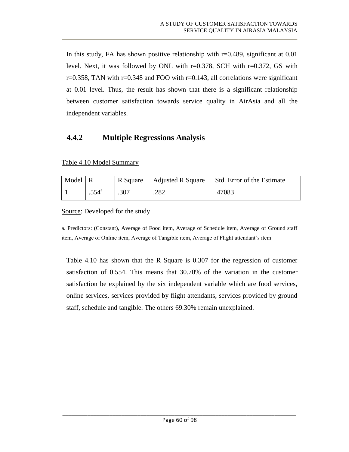In this study, FA has shown positive relationship with  $r=0.489$ , significant at 0.01 level. Next, it was followed by ONL with  $r=0.378$ , SCH with  $r=0.372$ , GS with  $r=0.358$ , TAN with  $r=0.348$  and FOO with  $r=0.143$ , all correlations were significant at 0.01 level. Thus, the result has shown that there is a significant relationship between customer satisfaction towards service quality in AirAsia and all the independent variables.

### **4.4.2 Multiple Regressions Analysis**

Table 4.10 Model Summary

| Model R |                | R Square | Adjusted R Square | Std. Error of the Estimate |
|---------|----------------|----------|-------------------|----------------------------|
|         | $.554^{\circ}$ | .307     | .282              | .47083                     |

Source: Developed for the study

a. Predictors: (Constant), Average of Food item, Average of Schedule item, Average of Ground staff item, Average of Online item, Average of Tangible item, Average of Flight attendant's item

Table 4.10 has shown that the R Square is 0.307 for the regression of customer satisfaction of 0.554. This means that 30.70% of the variation in the customer satisfaction be explained by the six independent variable which are food services, online services, services provided by flight attendants, services provided by ground staff, schedule and tangible. The others 69.30% remain unexplained.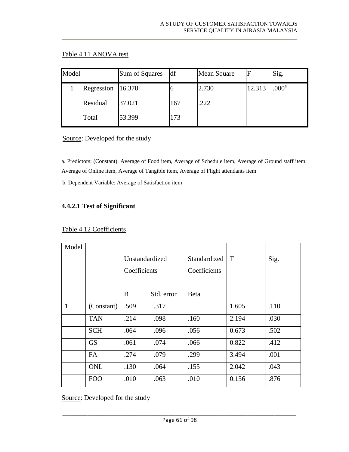#### Table 4.11 ANOVA test

| Model |  |                   | Sum of Squares | df  | Mean Square |        | Sig.    |
|-------|--|-------------------|----------------|-----|-------------|--------|---------|
|       |  | Regression 16.378 |                |     | 2.730       | 12.313 | $000^a$ |
|       |  | Residual          | 37.021         | 167 | .222        |        |         |
|       |  | Total             | 53.399         | 173 |             |        |         |

Source: Developed for the study

a. Predictors: (Constant), Average of Food item, Average of Schedule item, Average of Ground staff item, Average of Online item, Average of Tangible item, Average of Flight attendants item

b. Dependent Variable: Average of Satisfaction item

#### **4.4.2.1 Test of Significant**

| Model        |            |                |            |              |       |      |
|--------------|------------|----------------|------------|--------------|-------|------|
|              |            | Unstandardized |            | Standardized | T     | Sig. |
|              |            | Coefficients   |            | Coefficients |       |      |
|              |            |                |            |              |       |      |
|              |            | B              | Std. error | <b>B</b> eta |       |      |
| $\mathbf{1}$ | (Constant) | .509           | .317       |              | 1.605 | .110 |
|              | <b>TAN</b> | .214           | .098       | .160         | 2.194 | .030 |
|              | <b>SCH</b> | .064           | .096       | .056         | 0.673 | .502 |
|              | <b>GS</b>  | .061           | .074       | .066         | 0.822 | .412 |
|              | FA         | .274           | .079       | .299         | 3.494 | .001 |
|              | <b>ONL</b> | .130           | .064       | .155         | 2.042 | .043 |
|              | <b>FOO</b> | .010           | .063       | .010         | 0.156 | .876 |

#### Table 4.12 Coefficients

Source: Developed for the study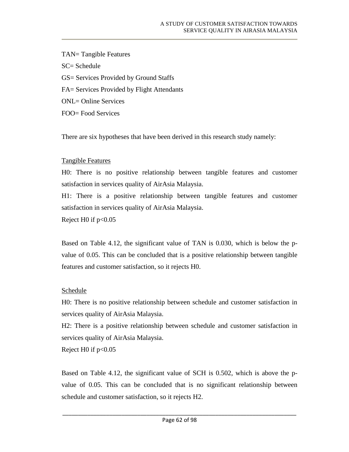TAN= Tangible Features SC= Schedule GS= Services Provided by Ground Staffs FA= Services Provided by Flight Attendants ONL= Online Services FOO= Food Services

There are six hypotheses that have been derived in this research study namely:

#### Tangible Features

H0: There is no positive relationship between tangible features and customer satisfaction in services quality of AirAsia Malaysia.

H1: There is a positive relationship between tangible features and customer satisfaction in services quality of AirAsia Malaysia.

Reject H $0$  if  $p<0.05$ 

Based on Table 4.12, the significant value of TAN is 0.030, which is below the pvalue of 0.05. This can be concluded that is a positive relationship between tangible features and customer satisfaction, so it rejects H0.

#### Schedule

H0: There is no positive relationship between schedule and customer satisfaction in services quality of AirAsia Malaysia.

H2: There is a positive relationship between schedule and customer satisfaction in services quality of AirAsia Malaysia.

Reject H0 if  $p<0.05$ 

Based on Table 4.12, the significant value of SCH is 0.502, which is above the pvalue of 0.05. This can be concluded that is no significant relationship between schedule and customer satisfaction, so it rejects H2.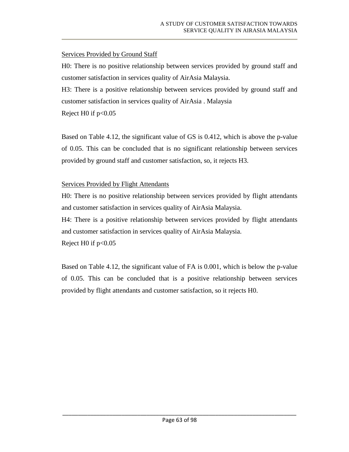#### Services Provided by Ground Staff

H0: There is no positive relationship between services provided by ground staff and customer satisfaction in services quality of AirAsia Malaysia.

H3: There is a positive relationship between services provided by ground staff and customer satisfaction in services quality of AirAsia . Malaysia

Reject H $0$  if  $p<0.05$ 

Based on Table 4.12, the significant value of GS is 0.412, which is above the p-value of 0.05. This can be concluded that is no significant relationship between services provided by ground staff and customer satisfaction, so, it rejects H3.

#### **Services Provided by Flight Attendants**

H0: There is no positive relationship between services provided by flight attendants and customer satisfaction in services quality of AirAsia Malaysia.

H4: There is a positive relationship between services provided by flight attendants and customer satisfaction in services quality of AirAsia Malaysia.

Reject H $0$  if  $p<0.05$ 

Based on Table 4.12, the significant value of FA is 0.001, which is below the p-value of 0.05. This can be concluded that is a positive relationship between services provided by flight attendants and customer satisfaction, so it rejects H0.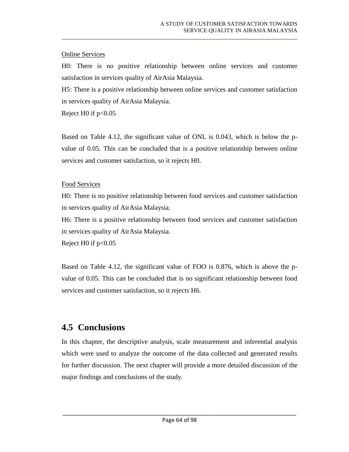#### Online Services

H0: There is no positive relationship between online services and customer satisfaction in services quality of AirAsia Malaysia.

H5: There is a positive relationship between online services and customer satisfaction in services quality of AirAsia Malaysia.

Reject H $0$  if  $p<0.05$ 

Based on Table 4.12, the significant value of ONL is 0.043, which is below the pvalue of 0.05. This can be concluded that is a positive relationship between online services and customer satisfaction, so it rejects H0.

#### Food Services

H0: There is no positive relationship between food services and customer satisfaction in services quality of AirAsia Malaysia.

H6: There is a positive relationship between food services and customer satisfaction in services quality of AirAsia Malaysia.

Reject H0 if  $p<0.05$ 

Based on Table 4.12, the significant value of FOO is 0.876, which is above the pvalue of 0.05. This can be concluded that is no significant relationship between food services and customer satisfaction, so it rejects H6.

## **4.5 Conclusions**

In this chapter, the descriptive analysis, scale measurement and inferential analysis which were used to analyze the outcome of the data collected and generated results for further discussion. The next chapter will provide a more detailed discussion of the major findings and conclusions of the study.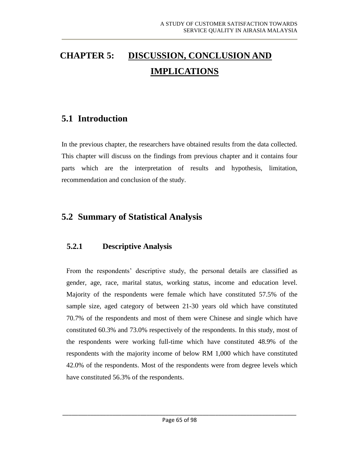# **CHAPTER 5: DISCUSSION, CONCLUSION AND IMPLICATIONS**

## **5.1 Introduction**

In the previous chapter, the researchers have obtained results from the data collected. This chapter will discuss on the findings from previous chapter and it contains four parts which are the interpretation of results and hypothesis, limitation, recommendation and conclusion of the study.

## **5.2 Summary of Statistical Analysis**

#### **5.2.1 Descriptive Analysis**

From the respondents' descriptive study, the personal details are classified as gender, age, race, marital status, working status, income and education level. Majority of the respondents were female which have constituted 57.5% of the sample size, aged category of between 21-30 years old which have constituted 70.7% of the respondents and most of them were Chinese and single which have constituted 60.3% and 73.0% respectively of the respondents. In this study, most of the respondents were working full-time which have constituted 48.9% of the respondents with the majority income of below RM 1,000 which have constituted 42.0% of the respondents. Most of the respondents were from degree levels which have constituted 56.3% of the respondents.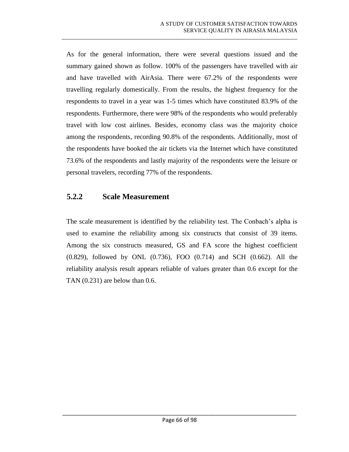As for the general information, there were several questions issued and the summary gained shown as follow. 100% of the passengers have travelled with air and have travelled with AirAsia. There were 67.2% of the respondents were travelling regularly domestically. From the results, the highest frequency for the respondents to travel in a year was 1-5 times which have constituted 83.9% of the respondents. Furthermore, there were 98% of the respondents who would preferably travel with low cost airlines. Besides, economy class was the majority choice among the respondents, recording 90.8% of the respondents. Additionally, most of the respondents have booked the air tickets via the Internet which have constituted 73.6% of the respondents and lastly majority of the respondents were the leisure or personal travelers, recording 77% of the respondents.

#### **5.2.2 Scale Measurement**

The scale measurement is identified by the reliability test. The Conbach's alpha is used to examine the reliability among six constructs that consist of 39 items. Among the six constructs measured, GS and FA score the highest coefficient (0.829), followed by ONL (0.736), FOO (0.714) and SCH (0.662). All the reliability analysis result appears reliable of values greater than 0.6 except for the TAN  $(0.231)$  are below than 0.6.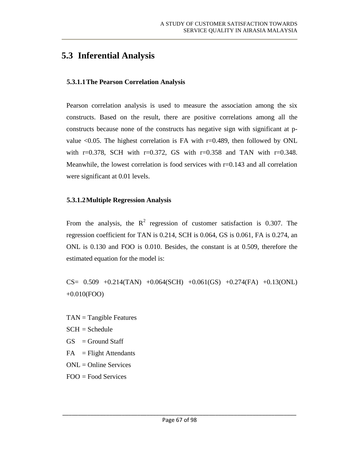## **5.3 Inferential Analysis**

#### **5.3.1.1The Pearson Correlation Analysis**

Pearson correlation analysis is used to measure the association among the six constructs. Based on the result, there are positive correlations among all the constructs because none of the constructs has negative sign with significant at pvalue  $\leq 0.05$ . The highest correlation is FA with r=0.489, then followed by ONL with r=0.378, SCH with r=0.372, GS with r=0.358 and TAN with r=0.348. Meanwhile, the lowest correlation is food services with  $r=0.143$  and all correlation were significant at 0.01 levels.

#### **5.3.1.2Multiple Regression Analysis**

From the analysis, the  $R^2$  regression of customer satisfaction is 0.307. The regression coefficient for TAN is 0.214, SCH is 0.064, GS is 0.061, FA is 0.274, an ONL is 0.130 and FOO is 0.010. Besides, the constant is at 0.509, therefore the estimated equation for the model is:

 $CS=$  0.509 +0.214(TAN) +0.064(SCH) +0.061(GS) +0.274(FA) +0.13(ONL) +0.010(FOO)

- $TAN = Tangible Features$
- $SCH = Schedule$
- $GS =$  Ground Staff
- $FA$  = Flight Attendants
- ONL = Online Services
- FOO = Food Services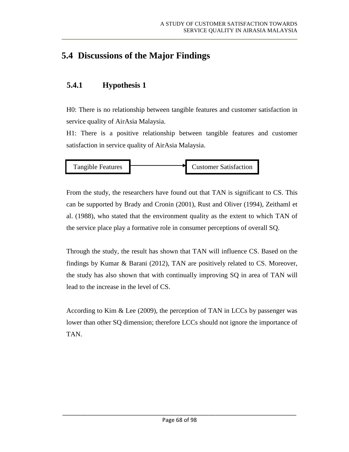## **5.4 Discussions of the Major Findings**

### **5.4.1 Hypothesis 1**

H0: There is no relationship between tangible features and customer satisfaction in service quality of AirAsia Malaysia.

H1: There is a positive relationship between tangible features and customer satisfaction in service quality of AirAsia Malaysia.



From the study, the researchers have found out that TAN is significant to CS. This can be supported by Brady and Cronin (2001), Rust and Oliver (1994), Zeithaml et al. (1988), who stated that the environment quality as the extent to which TAN of the service place play a formative role in consumer perceptions of overall SQ.

Through the study, the result has shown that TAN will influence CS. Based on the findings by Kumar & Barani (2012), TAN are positively related to CS. Moreover, the study has also shown that with continually improving SQ in area of TAN will lead to the increase in the level of CS.

According to Kim & Lee (2009), the perception of TAN in LCCs by passenger was lower than other SQ dimension; therefore LCCs should not ignore the importance of TAN.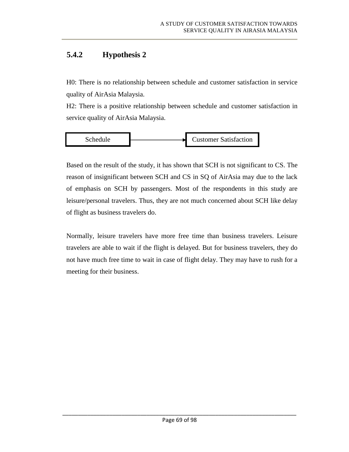### **5.4.2 Hypothesis 2**

H0: There is no relationship between schedule and customer satisfaction in service quality of AirAsia Malaysia.

H2: There is a positive relationship between schedule and customer satisfaction in service quality of AirAsia Malaysia.



Based on the result of the study, it has shown that SCH is not significant to CS. The reason of insignificant between SCH and CS in SQ of AirAsia may due to the lack of emphasis on SCH by passengers. Most of the respondents in this study are leisure/personal travelers. Thus, they are not much concerned about SCH like delay of flight as business travelers do.

Normally, leisure travelers have more free time than business travelers. Leisure travelers are able to wait if the flight is delayed. But for business travelers, they do not have much free time to wait in case of flight delay. They may have to rush for a meeting for their business.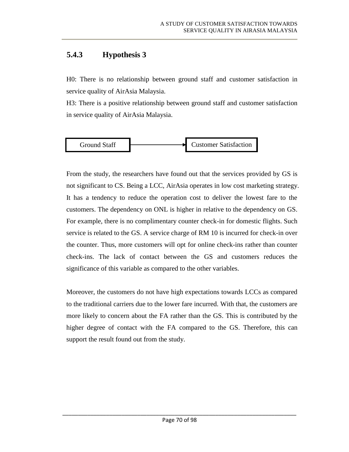### **5.4.3 Hypothesis 3**

H0: There is no relationship between ground staff and customer satisfaction in service quality of AirAsia Malaysia.

H3: There is a positive relationship between ground staff and customer satisfaction in service quality of AirAsia Malaysia.



From the study, the researchers have found out that the services provided by GS is not significant to CS. Being a LCC, AirAsia operates in low cost marketing strategy. It has a tendency to reduce the operation cost to deliver the lowest fare to the customers. The dependency on ONL is higher in relative to the dependency on GS. For example, there is no complimentary counter check-in for domestic flights. Such service is related to the GS. A service charge of RM 10 is incurred for check-in over the counter. Thus, more customers will opt for online check-ins rather than counter check-ins. The lack of contact between the GS and customers reduces the significance of this variable as compared to the other variables.

Moreover, the customers do not have high expectations towards LCCs as compared to the traditional carriers due to the lower fare incurred. With that, the customers are more likely to concern about the FA rather than the GS. This is contributed by the higher degree of contact with the FA compared to the GS. Therefore, this can support the result found out from the study.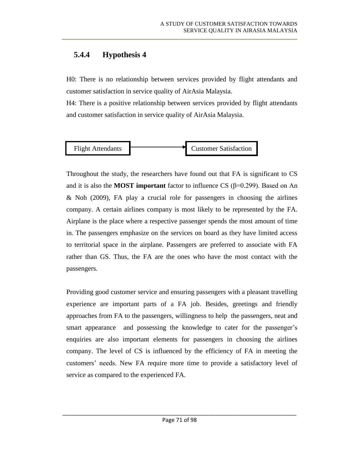### **5.4.4 Hypothesis 4**

H0: There is no relationship between services provided by flight attendants and customer satisfaction in service quality of AirAsia Malaysia.

H4: There is a positive relationship between services provided by flight attendants and customer satisfaction in service quality of AirAsia Malaysia.



Throughout the study, the researchers have found out that FA is significant to CS and it is also the **MOST important** factor to influence CS (β=0.299). Based on An & Noh (2009), FA play a crucial role for passengers in choosing the airlines company. A certain airlines company is most likely to be represented by the FA. Airplane is the place where a respective passenger spends the most amount of time in. The passengers emphasize on the services on board as they have limited access to territorial space in the airplane. Passengers are preferred to associate with FA rather than GS. Thus, the FA are the ones who have the most contact with the passengers.

Providing good customer service and ensuring passengers with a pleasant travelling experience are important parts of a FA job. Besides, greetings and friendly approaches from FA to the passengers, willingness to help the passengers, neat and smart appearance and possessing the knowledge to cater for the passenger's enquiries are also important elements for passengers in choosing the airlines company. The level of CS is influenced by the efficiency of FA in meeting the customers' needs. New FA require more time to provide a satisfactory level of service as compared to the experienced FA.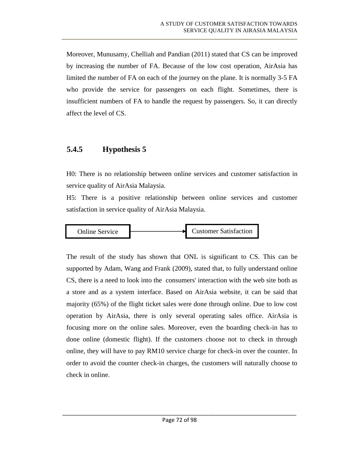Moreover, Munusamy, Chelliah and Pandian (2011) stated that CS can be improved by increasing the number of FA. Because of the low cost operation, AirAsia has limited the number of FA on each of the journey on the plane. It is normally 3-5 FA who provide the service for passengers on each flight. Sometimes, there is insufficient numbers of FA to handle the request by passengers. So, it can directly affect the level of CS.

#### **5.4.5 Hypothesis 5**

H0: There is no relationship between online services and customer satisfaction in service quality of AirAsia Malaysia.

H5: There is a positive relationship between online services and customer satisfaction in service quality of AirAsia Malaysia.



The result of the study has shown that ONL is significant to CS. This can be supported by Adam, Wang and Frank (2009), stated that, to fully understand online CS, there is a need to look into the consumers' interaction with the web site both as a store and as a system interface. Based on AirAsia website, it can be said that majority (65%) of the flight ticket sales were done through online. Due to low cost operation by AirAsia, there is only several operating sales office. AirAsia is focusing more on the online sales. Moreover, even the boarding check-in has to done online (domestic flight). If the customers choose not to check in through online, they will have to pay RM10 service charge for check-in over the counter. In order to avoid the counter check-in charges, the customers will naturally choose to check in online.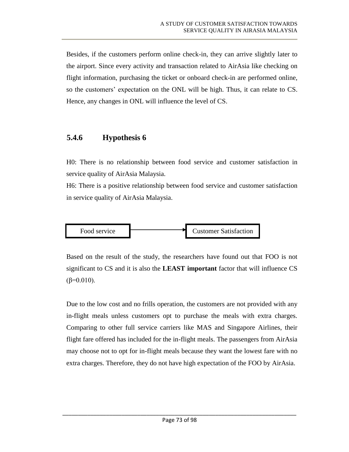Besides, if the customers perform online check-in, they can arrive slightly later to the airport. Since every activity and transaction related to AirAsia like checking on flight information, purchasing the ticket or onboard check-in are performed online, so the customers' expectation on the ONL will be high. Thus, it can relate to CS. Hence, any changes in ONL will influence the level of CS.

### **5.4.6 Hypothesis 6**

H0: There is no relationship between food service and customer satisfaction in service quality of AirAsia Malaysia.

H6: There is a positive relationship between food service and customer satisfaction in service quality of AirAsia Malaysia.



Based on the result of the study, the researchers have found out that FOO is not significant to CS and it is also the **LEAST important** factor that will influence CS  $(β=0.010)$ .

Due to the low cost and no frills operation, the customers are not provided with any in-flight meals unless customers opt to purchase the meals with extra charges. Comparing to other full service carriers like MAS and Singapore Airlines, their flight fare offered has included for the in-flight meals. The passengers from AirAsia may choose not to opt for in-flight meals because they want the lowest fare with no extra charges. Therefore, they do not have high expectation of the FOO by AirAsia.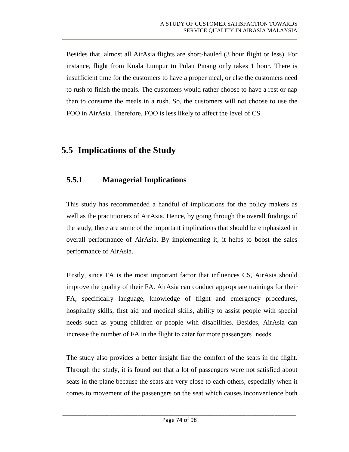Besides that, almost all AirAsia flights are short-hauled (3 hour flight or less). For instance, flight from Kuala Lumpur to Pulau Pinang only takes 1 hour. There is insufficient time for the customers to have a proper meal, or else the customers need to rush to finish the meals. The customers would rather choose to have a rest or nap than to consume the meals in a rush. So, the customers will not choose to use the FOO in AirAsia. Therefore, FOO is less likely to affect the level of CS.

## **5.5 Implications of the Study**

### **5.5.1 Managerial Implications**

This study has recommended a handful of implications for the policy makers as well as the practitioners of AirAsia. Hence, by going through the overall findings of the study, there are some of the important implications that should be emphasized in overall performance of AirAsia. By implementing it, it helps to boost the sales performance of AirAsia.

Firstly, since FA is the most important factor that influences CS, AirAsia should improve the quality of their FA. AirAsia can conduct appropriate trainings for their FA, specifically language, knowledge of flight and emergency procedures, hospitality skills, first aid and medical skills, ability to assist people with special needs such as young children or people with disabilities. Besides, AirAsia can increase the number of FA in the flight to cater for more passengers' needs.

The study also provides a better insight like the comfort of the seats in the flight. Through the study, it is found out that a lot of passengers were not satisfied about seats in the plane because the seats are very close to each others, especially when it comes to movement of the passengers on the seat which causes inconvenience both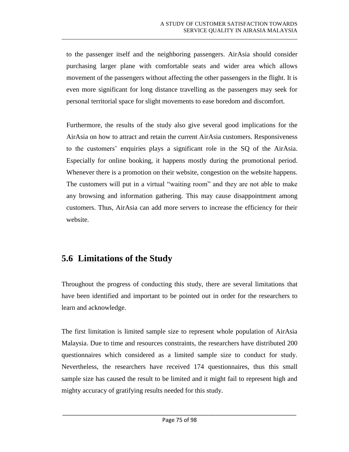to the passenger itself and the neighboring passengers. AirAsia should consider purchasing larger plane with comfortable seats and wider area which allows movement of the passengers without affecting the other passengers in the flight. It is even more significant for long distance travelling as the passengers may seek for personal territorial space for slight movements to ease boredom and discomfort.

Furthermore, the results of the study also give several good implications for the AirAsia on how to attract and retain the current AirAsia customers. Responsiveness to the customers' enquiries plays a significant role in the SQ of the AirAsia. Especially for online booking, it happens mostly during the promotional period. Whenever there is a promotion on their website, congestion on the website happens. The customers will put in a virtual "waiting room" and they are not able to make any browsing and information gathering. This may cause disappointment among customers. Thus, AirAsia can add more servers to increase the efficiency for their website.

## **5.6 Limitations of the Study**

Throughout the progress of conducting this study, there are several limitations that have been identified and important to be pointed out in order for the researchers to learn and acknowledge.

The first limitation is limited sample size to represent whole population of AirAsia Malaysia. Due to time and resources constraints, the researchers have distributed 200 questionnaires which considered as a limited sample size to conduct for study. Nevertheless, the researchers have received 174 questionnaires, thus this small sample size has caused the result to be limited and it might fail to represent high and mighty accuracy of gratifying results needed for this study.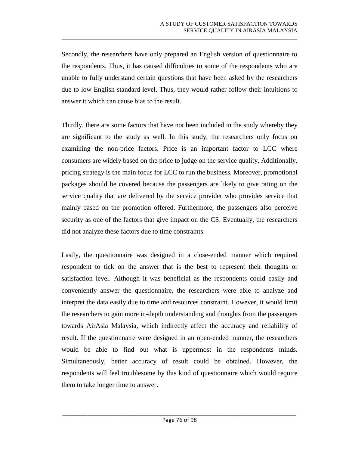Secondly, the researchers have only prepared an English version of questionnaire to the respondents. Thus, it has caused difficulties to some of the respondents who are unable to fully understand certain questions that have been asked by the researchers due to low English standard level. Thus, they would rather follow their intuitions to answer it which can cause bias to the result.

Thirdly, there are some factors that have not been included in the study whereby they are significant to the study as well. In this study, the researchers only focus on examining the non-price factors. Price is an important factor to LCC where consumers are widely based on the price to judge on the service quality. Additionally, pricing strategy is the main focus for LCC to run the business. Moreover, promotional packages should be covered because the passengers are likely to give rating on the service quality that are delivered by the service provider who provides service that mainly based on the promotion offered. Furthermore, the passengers also perceive security as one of the factors that give impact on the CS. Eventually, the researchers did not analyze these factors due to time constraints.

Lastly, the questionnaire was designed in a close-ended manner which required respondent to tick on the answer that is the best to represent their thoughts or satisfaction level. Although it was beneficial as the respondents could easily and conveniently answer the questionnaire, the researchers were able to analyze and interpret the data easily due to time and resources constraint. However, it would limit the researchers to gain more in-depth understanding and thoughts from the passengers towards AirAsia Malaysia, which indirectly affect the accuracy and reliability of result. If the questionnaire were designed in an open-ended manner, the researchers would be able to find out what is uppermost in the respondents minds. Simultaneously, better accuracy of result could be obtained. However, the respondents will feel troublesome by this kind of questionnaire which would require them to take longer time to answer.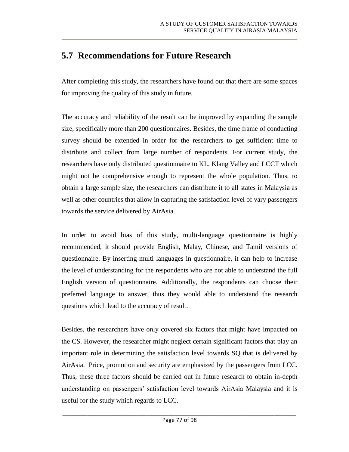## **5.7 Recommendations for Future Research**

After completing this study, the researchers have found out that there are some spaces for improving the quality of this study in future.

The accuracy and reliability of the result can be improved by expanding the sample size, specifically more than 200 questionnaires. Besides, the time frame of conducting survey should be extended in order for the researchers to get sufficient time to distribute and collect from large number of respondents. For current study, the researchers have only distributed questionnaire to KL, Klang Valley and LCCT which might not be comprehensive enough to represent the whole population. Thus, to obtain a large sample size, the researchers can distribute it to all states in Malaysia as well as other countries that allow in capturing the satisfaction level of vary passengers towards the service delivered by AirAsia.

In order to avoid bias of this study, multi-language questionnaire is highly recommended, it should provide English, Malay, Chinese, and Tamil versions of questionnaire. By inserting multi languages in questionnaire, it can help to increase the level of understanding for the respondents who are not able to understand the full English version of questionnaire. Additionally, the respondents can choose their preferred language to answer, thus they would able to understand the research questions which lead to the accuracy of result.

Besides, the researchers have only covered six factors that might have impacted on the CS. However, the researcher might neglect certain significant factors that play an important role in determining the satisfaction level towards SQ that is delivered by AirAsia. Price, promotion and security are emphasized by the passengers from LCC. Thus, these three factors should be carried out in future research to obtain in-depth understanding on passengers' satisfaction level towards AirAsia Malaysia and it is useful for the study which regards to LCC.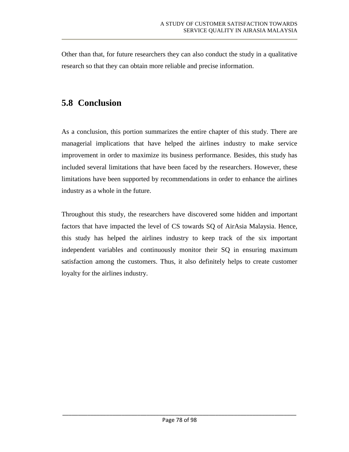Other than that, for future researchers they can also conduct the study in a qualitative research so that they can obtain more reliable and precise information.

## **5.8 Conclusion**

As a conclusion, this portion summarizes the entire chapter of this study. There are managerial implications that have helped the airlines industry to make service improvement in order to maximize its business performance. Besides, this study has included several limitations that have been faced by the researchers. However, these limitations have been supported by recommendations in order to enhance the airlines industry as a whole in the future.

Throughout this study, the researchers have discovered some hidden and important factors that have impacted the level of CS towards SQ of AirAsia Malaysia. Hence, this study has helped the airlines industry to keep track of the six important independent variables and continuously monitor their SQ in ensuring maximum satisfaction among the customers. Thus, it also definitely helps to create customer loyalty for the airlines industry.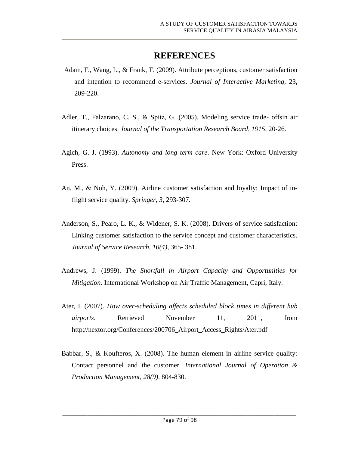## **REFERENCES**

- Adam, F., Wang, L., & Frank, T. (2009). Attribute perceptions, customer satisfaction and intention to recommend e-services. *Journal of Interactive Marketing*, 23, 209-220.
- Adler, T., Falzarano, C. S., & Spitz, G. (2005). Modeling service trade- offsin air itinerary choices. *Journal of the Transportation Research Board, 1915*, 20-26.
- Agich, G. J. (1993). *Autonomy and long term care*. New York: Oxford University Press.
- An, M., & Noh, Y. (2009). Airline customer satisfaction and loyalty: Impact of inflight service quality. *Springer, 3*, 293-307.
- Anderson, S., Pearo, L. K., & Widener, S. K. (2008). Drivers of service satisfaction: Linking customer satisfaction to the service concept and customer characteristics. *Journal of Service Research, 10(4)*, 365- 381.
- Andrews, J. (1999). *The Shortfall in Airport Capacity and Opportunities for Mitigation*. International Workshop on Air Traffic Management, Capri, Italy.
- Ater, I. (2007). *How over-scheduling affects scheduled block times in different hub airports.* Retrieved November 11, 2011, from [http://nextor.org/Conferences/200706\\_Airport\\_Access\\_Rights/Ater.pdf](http://nextor.org/Conferences/200706_Airport_Access_Rights/Ater.pdf)
- Babbar, S., & Koufteros, X. (2008). The human element in airline service quality: Contact personnel and the customer*. International Journal of Operation & Production Management, 28(9),* 804-830.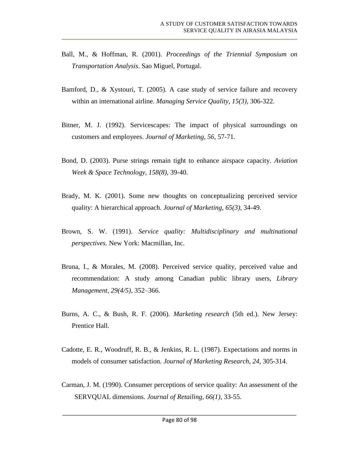- Ball, M., & Hoffman, R. (2001). *Proceedings of the Triennial Symposium on Transportation Analysis*. Sao Miguel, Portugal.
- Bamford, D., & Xystouri, T. (2005). A case study of service failure and recovery within an international airline. *Managing Service Quality, 15(3)*, 306-322.
- Bitner, M. J. (1992). Servicescapes: The impact of physical surroundings on customers and employees. *Journal of Marketing, 56*, 57-71.
- Bond, D. (2003). Purse strings remain tight to enhance airspace capacity. *Aviation Week & Space Technology, 158(8),* 39-40.
- Brady, M. K. (2001). Some new thoughts on conceptualizing perceived service quality: A hierarchical approach. *Journal of Marketing, 65(3)*, 34-49.
- Brown, S. W. (1991). *Service quality: Multidisciplinary and multinational perspectives*. New York: Macmillan, Inc.
- Bruna, I., & Morales, M. (2008). Perceived service quality, perceived value and recommendation: A study among Canadian public library users, *Library Management, 29(4/5)*, 352–366.
- Burns, A. C., & Bush, R. F. (2006). *Marketing research* (5th ed.). New Jersey: Prentice Hall.
- Cadotte, E. R., Woodruff, R. B., & Jenkins, R. L. (1987). Expectations and norms in models of consumer satisfaction. *Journal of Marketing Research, 24,* 305-314.
- Carman, J. M. (1990). Consumer perceptions of service quality: An assessment of the SERVQUAL dimensions. *Journal of Retailing, 66(1)*, 33-55.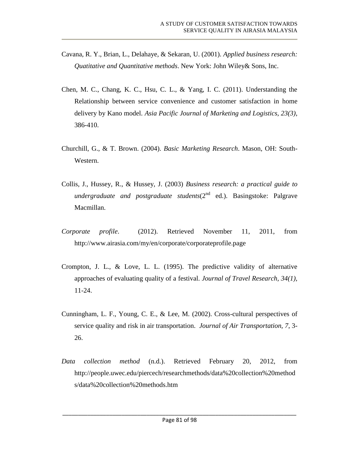- Cavana, R. Y., Brian, L., Delahaye, & Sekaran, U. (2001). *Applied business research: Quatitative and Quantitative methods*. New York: John Wiley& Sons, Inc.
- Chen, M. C., Chang, K. C., Hsu, C. L., & Yang, I. C. (2011). Understanding the Relationship between service convenience and customer satisfaction in home delivery by Kano model. *Asia Pacific Journal of Marketing and Logistics, 23(3)*, 386-410.
- Churchill, G., & T. Brown. (2004). *Basic Marketing Research*. Mason, OH: South-Western.
- Collis, J., Hussey, R., & Hussey, J. (2003) *Business research: a practical guide to undergraduate and postgraduate students*(2<sup>nd</sup> ed.). Basingstoke: Palgrave Macmillan.
- *Corporate profile*. (2012). Retrieved November 11, 2011, from <http://www.airasia.com/my/en/corporate/corporateprofile.page>
- Crompton, J. L., & Love, L. L. (1995). The predictive validity of alternative approaches of evaluating quality of a festival. *Journal of Travel Research, 34(1),* 11-24.
- Cunningham, L. F., Young, C. E., & Lee, M. (2002). Cross-cultural perspectives of service quality and risk in air transportation. *Journal of Air Transportation, 7*, 3- 26.
- *Data collection method* (n.d.). Retrieved February 20, 2012, from [http://people.uwec.edu/piercech/researchmethods/data%20collection%20method](http://people.uwec.edu/piercech/researchmethods/data%20collection%20methods/data%20collection%20methods.htm) [s/data%20collection%20methods.htm](http://people.uwec.edu/piercech/researchmethods/data%20collection%20methods/data%20collection%20methods.htm)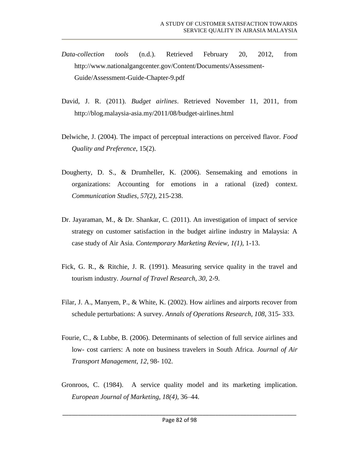- *Data-collection tools* (n.d.). Retrieved February 20, 2012, from [http://www.nationalgangcenter.gov/Content/Documents/Assessment-](http://www.nationalgangcenter.gov/Content/Documents/Assessment-Guide/Assessment-Guide-Chapter-9.pdf)[Guide/Assessment-Guide-Chapter-9.pdf](http://www.nationalgangcenter.gov/Content/Documents/Assessment-Guide/Assessment-Guide-Chapter-9.pdf)
- David, J. R. (2011). *Budget airlines*. Retrieved November 11, 2011, from <http://blog.malaysia-asia.my/2011/08/budget-airlines.html>
- Delwiche, J. (2004). The impact of perceptual interactions on perceived flavor. *Food Quality and Preference*, 15(2).
- Dougherty, D. S., & Drumheller, K. (2006). Sensemaking and emotions in organizations: Accounting for emotions in a rational (ized) context. *Communication Studies, 57(2),* 215-238.
- Dr. Jayaraman, M., & Dr. Shankar, C. (2011). An investigation of impact of service strategy on customer satisfaction in the budget airline industry in Malaysia: A case study of Air Asia. *Contemporary Marketing Review, 1(1)*, 1-13.
- Fick, G. R., & Ritchie, J. R. (1991). Measuring service quality in the travel and tourism industry. *Journal of Travel Research, 30*, 2-9.
- Filar, J. A., Manyem, P., & White, K. (2002). How airlines and airports recover from schedule perturbations: A survey. *Annals of Operations Research, 108*, 315- 333.
- Fourie, C., & Lubbe, B. (2006). Determinants of selection of full service airlines and low- cost carriers: A note on business travelers in South Africa. *Journal of Air Transport Management, 12*, 98- 102.
- Gronroos, C. (1984). A service quality model and its marketing implication. *European Journal of Marketing, 18(4),* 36–44.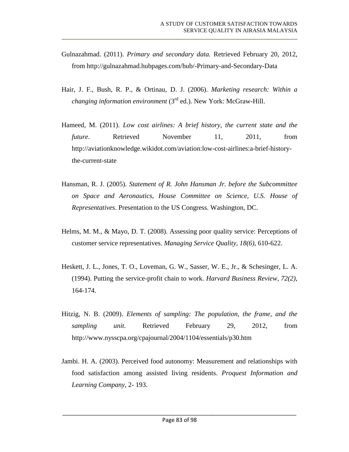- Gulnazahmad. (2011). *Primary and secondary data.* Retrieved February 20, 2012, from<http://gulnazahmad.hubpages.com/hub/-Primary-and-Secondary-Data>
- Hair, J. F., Bush, R. P., & Ortinau, D. J. (2006). *Marketing research: Within a changing information environment* (3rd ed.). New York: McGraw-Hill.
- Hameed, M. (2011). *Low cost airlines: A brief history, the current state and the future.* Retrieved November 11, 2011, from [http://aviationknowledge.wikidot.com/aviation:low-cost-airlines:a-brief-history](http://aviationknowledge.wikidot.com/aviation:low-cost-airlines:a-brief-history-the-current-state)[the-current-state](http://aviationknowledge.wikidot.com/aviation:low-cost-airlines:a-brief-history-the-current-state)
- Hansman, R. J. (2005). *Statement of R. John Hansman Jr. before the Subcommittee on Space and Aeronautics, House Committee on Science, U.S. House of Representatives*. Presentation to the US Congress. Washington, DC.
- Helms, M. M., & Mayo, D. T. (2008). Assessing poor quality service: Perceptions of customer service representatives. *Managing Service Quality, 18(6),* 610-622.
- Heskett, J. L., Jones, T. O., Loveman, G. W., Sasser, W. E., Jr., & Schesinger, L. A. (1994). Putting the service-profit chain to work. *Harvard Business Review*, *72(2)*, 164-174.
- Hitzig, N. B. (2009). *Elements of sampling: The population, the frame, and the sampling unit.* Retrieved February 29, 2012, from <http://www.nysscpa.org/cpajournal/2004/1104/essentials/p30.htm>
- Jambi. H. A. (2003). Perceived food autonomy: Measurement and relationships with food satisfaction among assisted living residents. *Proquest Information and Learning Company*, 2- 193.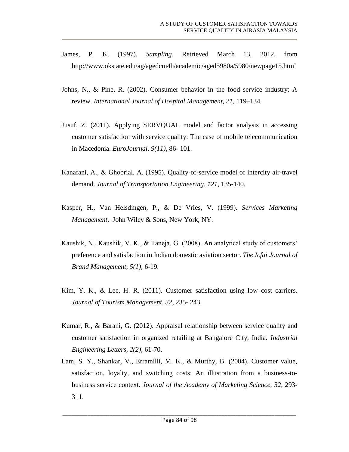- James, P. K. (1997). *Sampling*. Retrieved March 13, 2012, from [http://www.okstate.edu/ag/agedcm4h/academic/aged5980a/5980/newpage15.htm`](http://www.okstate.edu/ag/agedcm4h/academic/aged5980a/5980/newpage15.htm%60)
- Johns, N., & Pine, R. (2002). Consumer behavior in the food service industry: A review. *International Journal of Hospital Management, 21,* 119–134*.*
- Jusuf, Z. (2011). Applying SERVQUAL model and factor analysis in accessing customer satisfaction with service quality: The case of mobile telecommunication in Macedonia. *EuroJournal, 9(11)*, 86- 101.
- Kanafani, A., & Ghobrial, A. (1995). Quality-of-service model of intercity air-travel demand. *Journal of Transportation Engineering, 121*, 135-140.
- Kasper, H., Van Helsdingen, P., & De Vries, V. (1999). *Services Marketing Management*. John Wiley & Sons, New York, NY.
- Kaushik, N., Kaushik, V. K., & Taneja, G. (2008). An analytical study of customers' preference and satisfaction in Indian domestic aviation sector. *The Icfai Journal of Brand Management*, *5(1),* 6-19.
- Kim, Y. K., & Lee, H. R. (2011). Customer satisfaction using low cost carriers. *Journal of Tourism Management, 32*, 235- 243.
- Kumar, R., & Barani, G. (2012). Appraisal relationship between service quality and customer satisfaction in organized retailing at Bangalore City, India*. Industrial Engineering Letters, 2(2)*, 61-70.
- Lam, S. Y., Shankar, V., Erramilli, M. K., & Murthy, B. (2004). Customer value, satisfaction, loyalty, and switching costs: An illustration from a business-tobusiness service context. *Journal of the Academy of Marketing Science, 32*, 293- 311.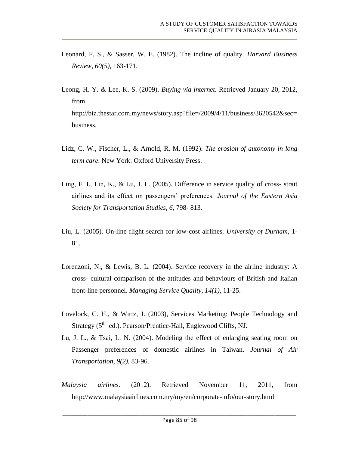- Leonard, F. S., & Sasser, W. E. (1982). The incline of quality. *Harvard Business Review, 60(5)*, 163-171.
- Leong, H. Y. & Lee, K. S. (2009). *Buying via internet*. Retrieved January 20, 2012, from http://biz.thestar.com.my/news/story.asp?file=/2009/4/11/business/3620542&sec= business.
- Lidz, C. W., Fischer, L., & Arnold, R. M. (1992). *The erosion of autonomy in long term care*. New York: Oxford University Press.
- Ling, F. I., Lin, K., & Lu, J. L. (2005). Difference in service quality of cross- strait airlines and its effect on passengers' preferences. *Journal of the Eastern Asia Society for Transportation Studies, 6*, 798- 813.
- Liu, L. (2005). On-line flight search for low-cost airlines. *University of Durham*, 1- 81.
- Lorenzoni, N., & Lewis, B. L. (2004). Service recovery in the airline industry: A cross- cultural comparison of the attitudes and behaviours of British and Italian front-line personnel. *Managing Service Quality, 14(1),* 11-25.
- Lovelock, C. H., & Wirtz, J. (2003), Services Marketing: People Technology and Strategy (5<sup>th</sup> ed.). Pearson/Prentice-Hall, Englewood Cliffs, NJ.
- Lu, J. L., & Tsai, L. N. (2004). Modeling the effect of enlarging seating room on Passenger preferences of domestic airlines in Taiwan. *Journal of Air Transportation, 9(2),* 83-96.
- *Malaysia airlines.* (2012). Retrieved November 11, 2011, from <http://www.malaysiaairlines.com.my/my/en/corporate-info/our-story.html>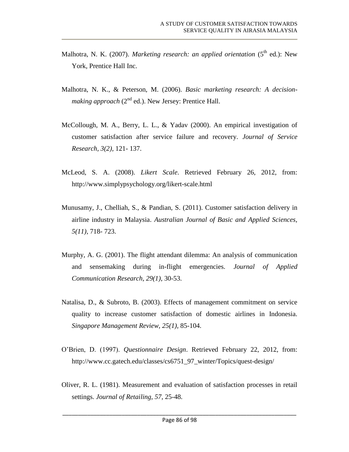- Malhotra, N. K. (2007). *Marketing research: an applied orientation* (5<sup>th</sup> ed.): New York, Prentice Hall Inc.
- Malhotra, N. K., & Peterson, M. (2006). *Basic marketing research: A decisionmaking approach*  $(2^{nd}$  ed.). New Jersey: Prentice Hall.
- McCollough, M. A., Berry, L. L., & Yadav (2000). An empirical investigation of customer satisfaction after service failure and recovery. *Journal of Service Research, 3(2),* 121- 137.
- McLeod, S. A. (2008). *Likert Scale*. Retrieved February 26, 2012, from: <http://www.simplypsychology.org/likert-scale.html>
- Munusamy, J., Chelliah, S., & Pandian, S. (2011). Customer satisfaction delivery in airline industry in Malaysia. *Australian Journal of Basic and Applied Sciences, 5(11),* 718- 723.
- Murphy, A. G. (2001). The flight attendant dilemma: An analysis of communication and sensemaking during in-flight emergencies. *Journal of Applied Communication Research, 29(1)*, 30-53.
- Natalisa, D., & Subroto, B. (2003). Effects of management commitment on service quality to increase customer satisfaction of domestic airlines in Indonesia. *Singapore Management Review, 25(1),* 85-104.
- O'Brien, D. (1997). *Questionnaire Design*. Retrieved February 22, 2012, from: [http://www.cc.gatech.edu/classes/cs6751\\_97\\_winter/Topics/quest-design/](http://www.cc.gatech.edu/classes/cs6751_97_winter/Topics/quest-design/)
- Oliver, R. L. (1981). Measurement and evaluation of satisfaction processes in retail settings. *Journal of Retailing, 57,* 25-48.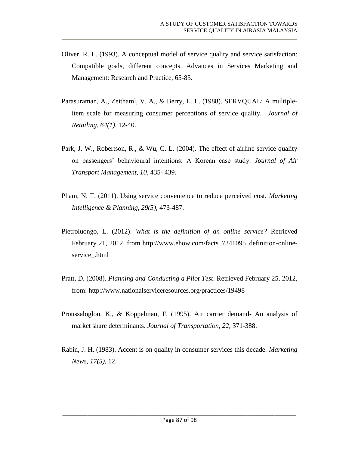- Oliver, R. L. (1993). A conceptual model of service quality and service satisfaction: Compatible goals, different concepts. Advances in Services Marketing and Management: Research and Practice, 65-85.
- Parasuraman, A., Zeithaml, V. A., & Berry, L. L. (1988). SERVQUAL: A multipleitem scale for measuring consumer perceptions of service quality. *Journal of Retailing, 64(1)*, 12-40.
- Park, J. W., Robertson, R., & Wu, C. L. (2004). The effect of airline service quality on passengers' behavioural intentions: A Korean case study. *Journal of Air Transport Management, 10*, 435- 439.
- Pham, N. T. (2011). Using service convenience to reduce perceived cost. *Marketing Intelligence & Planning, 29(5)*, 473-487.
- Pietroluongo, L. (2012). *What is the definition of an online service?* Retrieved February 21, 2012, from [http://www.ehow.com/facts\\_7341095\\_definition-online](http://www.ehow.com/facts_7341095_definition-online-service_.html)[service\\_.html](http://www.ehow.com/facts_7341095_definition-online-service_.html)
- Pratt, D. (2008). *Planning and Conducting a Pilot Test*. Retrieved February 25, 2012, from:<http://www.nationalserviceresources.org/practices/19498>
- Proussaloglou, K., & Koppelman, F. (1995). Air carrier demand- An analysis of market share determinants. *Journal of Transportation, 22*, 371-388.
- Rabin, J. H. (1983). Accent is on quality in consumer services this decade. *Marketing News, 17(5),* 12.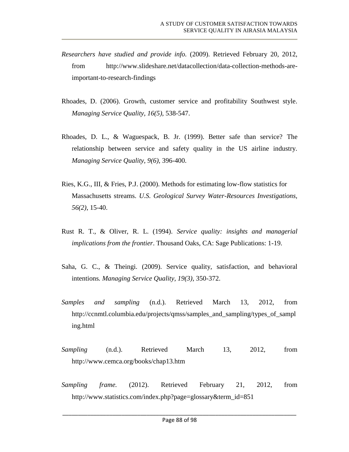- *Researchers have studied and provide info.* (2009). Retrieved February 20, 2012, from [http://www.slideshare.net/datacollection/data-collection-methods-are](http://www.slideshare.net/datacollection/data-collection-methods-are-important-to-research-findings)[important-to-research-findings](http://www.slideshare.net/datacollection/data-collection-methods-are-important-to-research-findings)
- Rhoades, D. (2006). Growth, customer service and profitability Southwest style. *Managing Service Quality, 16(5)*, 538-547.
- Rhoades, D. L., & Waguespack, B. Jr. (1999). Better safe than service? The relationship between service and safety quality in the US airline industry. *Managing Service Quality, 9(6),* 396-400.
- Ries, K.G., III, & Fries, P.J. (2000). Methods for estimating low-flow statistics for Massachusetts streams. *U.S. Geological Survey Water-Resources Investigations, 56(2)*, 15-40.
- Rust R. T., & Oliver, R. L. (1994). *Service quality: insights and managerial implications from the frontier*. Thousand Oaks, CA: Sage Publications: 1-19.
- Saha, G. C., & Theingi. (2009). Service quality, satisfaction, and behavioral intentions*. Managing Service Quality, 19(3),* 350-372.
- *Samples and sampling* (n.d.). Retrieved March 13, 2012, from [http://ccnmtl.columbia.edu/projects/qmss/samples\\_and\\_sampling/types\\_of\\_sampl](http://ccnmtl.columbia.edu/projects/qmss/samples_and_sampling/types_of_sampling.html) [ing.html](http://ccnmtl.columbia.edu/projects/qmss/samples_and_sampling/types_of_sampling.html)
- *Sampling* (n.d.). Retrieved March 13, 2012, from <http://www.cemca.org/books/chap13.htm>
- *Sampling frame.* (2012). Retrieved February 21, 2012, from [http://www.statistics.com/index.php?page=glossary&term\\_id=851](http://www.statistics.com/index.php?page=glossary&term_id=851)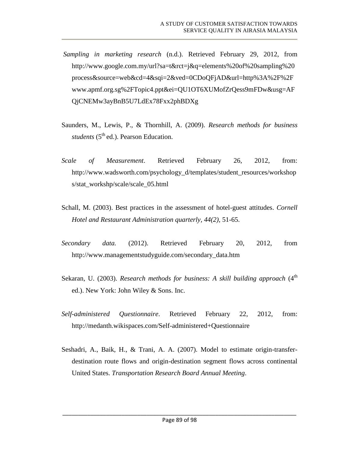- *Sampling in marketing research* (n.d.). Retrieved February 29, 2012, from [http://www.google.com.my/url?sa=t&rct=j&q=elements%20of%20sampling%20](http://www.google.com.my/url?sa=t&rct=j&q=elements%20of%20sampling%20process&source=web&cd=4&sqi=2&ved=0CDoQFjAD&url=http%3A%2F%2Fwww.apmf.org.sg%2FTopic4.ppt&ei=QU1OT6XUMofZrQess9mFDw&usg=AFQjCNEMw3ayBnB5U7LdEx78Fxx2phBDXg) [process&source=web&cd=4&sqi=2&ved=0CDoQFjAD&url=http%3A%2F%2F](http://www.google.com.my/url?sa=t&rct=j&q=elements%20of%20sampling%20process&source=web&cd=4&sqi=2&ved=0CDoQFjAD&url=http%3A%2F%2Fwww.apmf.org.sg%2FTopic4.ppt&ei=QU1OT6XUMofZrQess9mFDw&usg=AFQjCNEMw3ayBnB5U7LdEx78Fxx2phBDXg) [www.apmf.org.sg%2FTopic4.ppt&ei=QU1OT6XUMofZrQess9mFDw&usg=AF](http://www.google.com.my/url?sa=t&rct=j&q=elements%20of%20sampling%20process&source=web&cd=4&sqi=2&ved=0CDoQFjAD&url=http%3A%2F%2Fwww.apmf.org.sg%2FTopic4.ppt&ei=QU1OT6XUMofZrQess9mFDw&usg=AFQjCNEMw3ayBnB5U7LdEx78Fxx2phBDXg) [QjCNEMw3ayBnB5U7LdEx78Fxx2phBDXg](http://www.google.com.my/url?sa=t&rct=j&q=elements%20of%20sampling%20process&source=web&cd=4&sqi=2&ved=0CDoQFjAD&url=http%3A%2F%2Fwww.apmf.org.sg%2FTopic4.ppt&ei=QU1OT6XUMofZrQess9mFDw&usg=AFQjCNEMw3ayBnB5U7LdEx78Fxx2phBDXg)
- Saunders, M., Lewis, P., & Thornhill, A. (2009). *Research methods for business students* (5<sup>th</sup> ed.). Pearson Education.
- *Scale of Measurement*. Retrieved February 26, 2012, from: [http://www.wadsworth.com/psychology\\_d/templates/student\\_resources/workshop](http://www.wadsworth.com/psychology_d/templates/student_resources/workshops/stat_workshp/scale/scale_05.html) [s/stat\\_workshp/scale/scale\\_05.html](http://www.wadsworth.com/psychology_d/templates/student_resources/workshops/stat_workshp/scale/scale_05.html)
- Schall, M. (2003). Best practices in the assessment of hotel-guest attitudes. *Cornell Hotel and Restaurant Administration quarterly, 44(2),* 51-65.
- *Secondary data.* (2012). Retrieved February 20, 2012, from [http://www.managementstudyguide.com/secondary\\_data.htm](http://www.managementstudyguide.com/secondary_data.htm)
- Sekaran, U. (2003). *Research methods for business: A skill building approach* (4<sup>th</sup> ed.). New York: John Wiley & Sons. Inc.
- *Self-administered Questionnaire*. Retrieved February 22, 2012, from: <http://medanth.wikispaces.com/Self-administered+Questionnaire>
- Seshadri, A., Baik, H., & Trani, A. A. (2007). Model to estimate origin-transferdestination route flows and origin-destination segment flows across continental United States. *Transportation Research Board Annual Meeting*.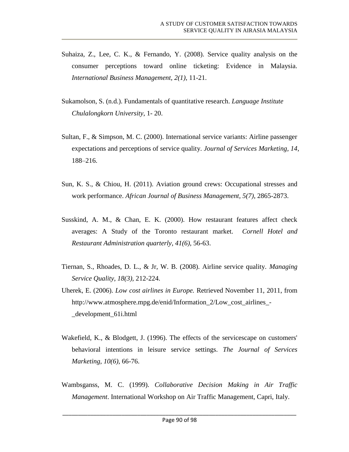- Suhaiza, Z., Lee, C. K., & Fernando, Y. (2008). Service quality analysis on the consumer perceptions toward online ticketing: Evidence in Malaysia. *International Business Management, 2(1)*, 11-21.
- Sukamolson, S. (n.d.). Fundamentals of quantitative research. *Language Institute Chulalongkorn University*, 1- 20.
- Sultan, F., & Simpson, M. C. (2000). International service variants: Airline passenger expectations and perceptions of service quality. *Journal of Services Marketing, 14*, 188–216.
- Sun, K. S., & Chiou, H. (2011). Aviation ground crews: Occupational stresses and work performance. *African Journal of Business Management, 5(7)*, 2865-2873.
- Susskind, A. M., & Chan, E. K. (2000). How restaurant features affect check averages: A Study of the Toronto restaurant market. *Cornell Hotel and Restaurant Administration quarterly*, *41(6),* 56-63.
- Tiernan, S., Rhoades, D. L., & Jr, W. B. (2008). Airline service quality. *Managing Service Quality, 18(3),* 212-224.
- Uherek, E. (2006). *Low cost airlines in Europe.* Retrieved November 11, 2011, from [http://www.atmosphere.mpg.de/enid/Information\\_2/Low\\_cost\\_airlines\\_-](http://www.atmosphere.mpg.de/enid/Information_2/Low_cost_airlines_-_development_61i.html) [\\_development\\_61i.html](http://www.atmosphere.mpg.de/enid/Information_2/Low_cost_airlines_-_development_61i.html)
- Wakefield, K., & Blodgett, J. (1996). The effects of the servicescape on customers' behavioral intentions in leisure service settings. *The Journal of Services Marketing, 10(6)*, 66-76.
- Wambsganss, M. C. (1999). *Collaborative Decision Making in Air Traffic Management*. International Workshop on Air Traffic Management, Capri, Italy.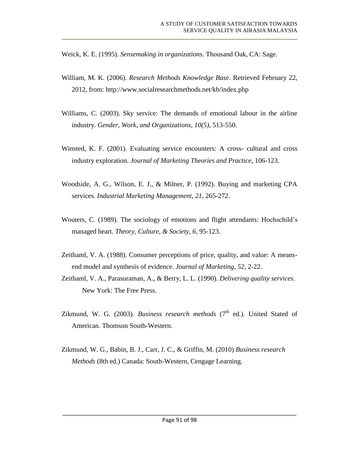Weick, K. E. (1995). *Sensemaking in organizations*. Thousand Oak, CA: Sage.

- William, M. K. (2006). *Research Methods Knowledge Base*. Retrieved February 22, 2012, from:<http://www.socialresearchmethods.net/kb/index.php>
- Williams, C. (2003). Sky service: The demands of emotional labour in the airline industry. *Gender, Work, and Organizations, 10(5)*, 513-550.
- Winsted, K. F. (2001). Evaluating service encounters: A cross- cultural and cross industry exploration. *Journal of Marketing Theories and Practice*, 106-123.
- Woodside, A. G., Wilson, E. J., & Milner, P. (1992). Buying and marketing CPA services. *Industrial Marketing Management, 21*, 265-272.
- Wouters, C. (1989). The sociology of emotions and flight attendants: Hochschild's managed heart. *Theory, Culture, & Society, 6*, 95-123.
- Zeithaml, V. A. (1988). Consumer perceptions of price, quality, and value: A meansend model and synthesis of evidence. *Journal of Marketing, 52*, 2-22.
- Zeithaml, V. A., Parasuraman, A., & Berry, L. L. (1990). *Delivering quality services*. New York: The Free Press.
- Zikmund, W. G.  $(2003)$ . *Business research methods*  $(7<sup>th</sup>$  ed.). United Stated of American. Thomson South-Western.
- Zikmund, W. G., Babin, B. J., Carr, J. C., & Griffin, M. (2010) *Business research Methods* (8th ed.) Canada: South-Western, Cengage Learning.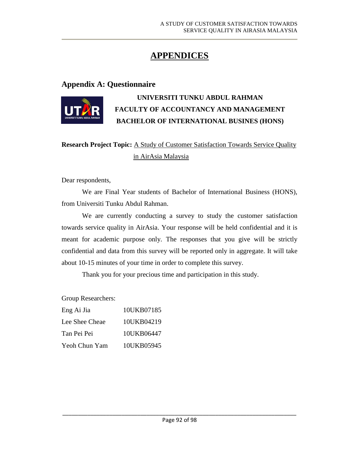## **APPENDICES**

#### **Appendix A: Questionnaire**



## **UNIVERSITI TUNKU ABDUL RAHMAN FACULTY OF ACCOUNTANCY AND MANAGEMENT BACHELOR OF INTERNATIONAL BUSINES (HONS)**

## **Research Project Topic:** A Study of Customer Satisfaction Towards Service Quality in AirAsia Malaysia

Dear respondents,

We are Final Year students of Bachelor of International Business (HONS), from Universiti Tunku Abdul Rahman.

We are currently conducting a survey to study the customer satisfaction towards service quality in AirAsia. Your response will be held confidential and it is meant for academic purpose only. The responses that you give will be strictly confidential and data from this survey will be reported only in aggregate. It will take about 10-15 minutes of your time in order to complete this survey.

Thank you for your precious time and participation in this study.

Group Researchers:

| Eng Ai Jia     | 10UKB07185 |
|----------------|------------|
| Lee Shee Cheae | 10UKB04219 |
| Tan Pei Pei    | 10UKB06447 |
| Yeoh Chun Yam  | 10UKB05945 |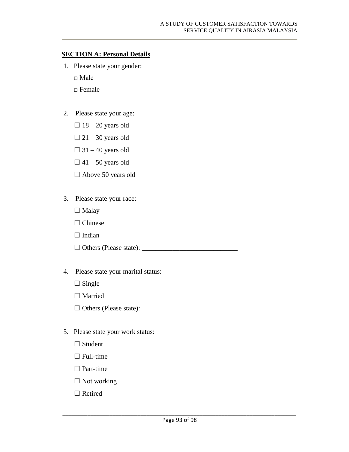#### **SECTION A: Personal Details**

- 1. Please state your gender:
	- □ Male
	- □ Female
- 2. Please state your age:
	- $\Box$  18 20 years old
	- $\Box$  21 30 years old
	- $\Box$  31 40 years old
	- $\Box$  41 50 years old
	- □ Above 50 years old
- 3. Please state your race:
	- □ Malay
	- □ Chinese
	- $\Box$  Indian

□ Others (Please state): \_\_\_\_\_\_\_\_\_\_\_\_\_\_\_\_\_\_\_\_\_\_\_\_\_\_\_\_

- 4. Please state your marital status:
	- $\Box$  Single
	- □ Married

□ Others (Please state): \_\_\_\_\_\_\_\_\_\_\_\_\_\_\_\_\_\_\_\_\_\_\_\_\_\_\_\_

- 5. Please state your work status:
	- □ Student
	- $\Box$  Full-time
	- □ Part-time
	- □ Not working
	- □ Retired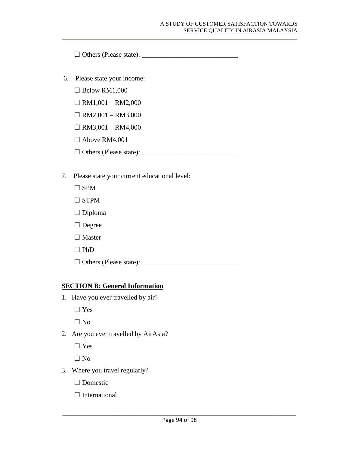□ Others (Please state): \_\_\_\_\_\_\_\_\_\_\_\_\_\_\_\_\_\_\_\_\_\_\_\_\_\_\_\_

- 6. Please state your income:
	- $\Box$  Below RM1,000
	- $\Box$  RM1,001 RM2,000
	- $\Box$  RM2,001 RM3,000
	- $\Box$  RM3,001 RM4,000
	- $\Box$  Above RM4.001
	- □ Others (Please state): \_\_\_\_\_\_\_\_\_\_\_\_\_\_\_\_\_\_\_\_\_\_\_\_\_\_\_\_
- 7. Please state your current educational level:
	- $\square$  SPM
	- □ STPM
	- □ Diploma
	- □ Degree
	- □ Master
	- □ PhD

□ Others (Please state): \_\_\_\_\_\_\_\_\_\_\_\_\_\_\_\_\_\_\_\_\_\_\_\_\_\_\_\_

#### **SECTION B: General Information**

- 1. Have you ever travelled by air?
	- □ Yes

 $\square$  No

2. Are you ever travelled by AirAsia?

□ Yes

□ No

- 3. Where you travel regularly?
	- □ Domestic
	- □ International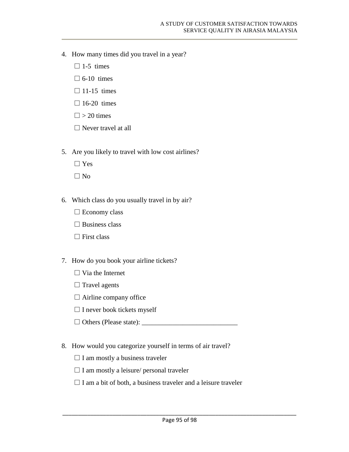- 4. How many times did you travel in a year?
	- $\square$  1-5 times
	- $\Box$  6-10 times
	- $\Box$  11-15 times
	- $\square$  16-20 times
	- $\Box$  > 20 times
	- $\Box$  Never travel at all
- 5. Are you likely to travel with low cost airlines?
	- □ Yes
	- □ No
- 6. Which class do you usually travel in by air?
	- □ Economy class
	- $\square$  Business class
	- $\Box$  First class
- 7. How do you book your airline tickets?
	- $\Box$  Via the Internet
	- $\Box$  Travel agents
	- □ Airline company office
	- □ I never book tickets myself
	- □ Others (Please state): \_\_\_\_\_\_\_\_\_\_\_\_\_\_\_\_\_\_\_\_\_\_\_\_\_\_\_\_
- 8. How would you categorize yourself in terms of air travel?
	- $\square$  I am mostly a business traveler
	- $\square$  I am mostly a leisure/ personal traveler
	- $\Box$  I am a bit of both, a business traveler and a leisure traveler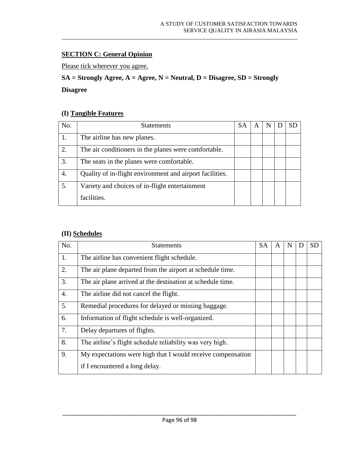## **SECTION C: General Opinion**

Please tick wherever you agree.

## **SA = Strongly Agree, A = Agree, N = Neutral, D = Disagree, SD = Strongly**

### **Disagree**

#### **(I) Tangible Features**

| No. | <b>Statements</b>                                        | SA | N | SD |
|-----|----------------------------------------------------------|----|---|----|
|     | The airline has new planes.                              |    |   |    |
| 2.  | The air conditioners in the planes were comfortable.     |    |   |    |
| 3.  | The seats in the planes were comfortable.                |    |   |    |
| 4.  | Quality of in-flight environment and airport facilities. |    |   |    |
| 5.  | Variety and choices of in-flight entertainment           |    |   |    |
|     | facilities.                                              |    |   |    |

# **(II) Schedules**

| No.              | <b>Statements</b>                                           | <b>SA</b> | A | N | <b>SD</b> |
|------------------|-------------------------------------------------------------|-----------|---|---|-----------|
| 1.               | The airline has convenient flight schedule.                 |           |   |   |           |
| 2.               | The air plane departed from the airport at schedule time.   |           |   |   |           |
| 3.               | The air plane arrived at the destination at schedule time.  |           |   |   |           |
| $\overline{4}$ . | The airline did not cancel the flight.                      |           |   |   |           |
| 5.               | Remedial procedures for delayed or missing baggage.         |           |   |   |           |
| 6.               | Information of flight schedule is well-organized.           |           |   |   |           |
| 7.               | Delay departures of flights.                                |           |   |   |           |
| 8.               | The airline's flight schedule reliability was very high.    |           |   |   |           |
| 9.               | My expectations were high that I would receive compensation |           |   |   |           |
|                  | if I encountered a long delay.                              |           |   |   |           |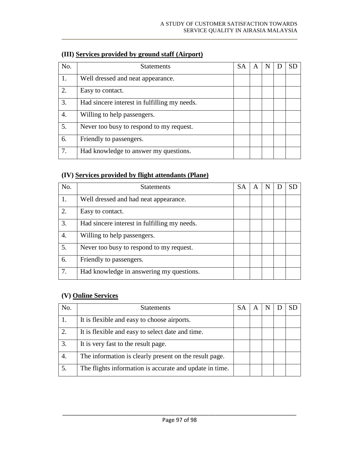| No. | <b>Statements</b>                            | <b>SA</b> | A | N | SD |
|-----|----------------------------------------------|-----------|---|---|----|
| 1.  | Well dressed and neat appearance.            |           |   |   |    |
| 2.  | Easy to contact.                             |           |   |   |    |
| 3.  | Had sincere interest in fulfilling my needs. |           |   |   |    |
| 4.  | Willing to help passengers.                  |           |   |   |    |
| 5.  | Never too busy to respond to my request.     |           |   |   |    |
| 6.  | Friendly to passengers.                      |           |   |   |    |
| 7.  | Had knowledge to answer my questions.        |           |   |   |    |

## **(III) Services provided by ground staff (Airport)**

## **(IV) Services provided by flight attendants (Plane)**

| No. | <b>Statements</b>                            | <b>SA</b> | A | N | SD |
|-----|----------------------------------------------|-----------|---|---|----|
|     | Well dressed and had neat appearance.        |           |   |   |    |
| 2.  | Easy to contact.                             |           |   |   |    |
| 3.  | Had sincere interest in fulfilling my needs. |           |   |   |    |
| 4.  | Willing to help passengers.                  |           |   |   |    |
| 5.  | Never too busy to respond to my request.     |           |   |   |    |
| 6.  | Friendly to passengers.                      |           |   |   |    |
| 7.  | Had knowledge in answering my questions.     |           |   |   |    |

## **(V) Online Services**

| No. | <b>Statements</b>                                       | SА | A | N | SD |
|-----|---------------------------------------------------------|----|---|---|----|
|     | It is flexible and easy to choose airports.             |    |   |   |    |
|     | It is flexible and easy to select date and time.        |    |   |   |    |
| 3.  | It is very fast to the result page.                     |    |   |   |    |
| 4.  | The information is clearly present on the result page.  |    |   |   |    |
|     | The flights information is accurate and update in time. |    |   |   |    |